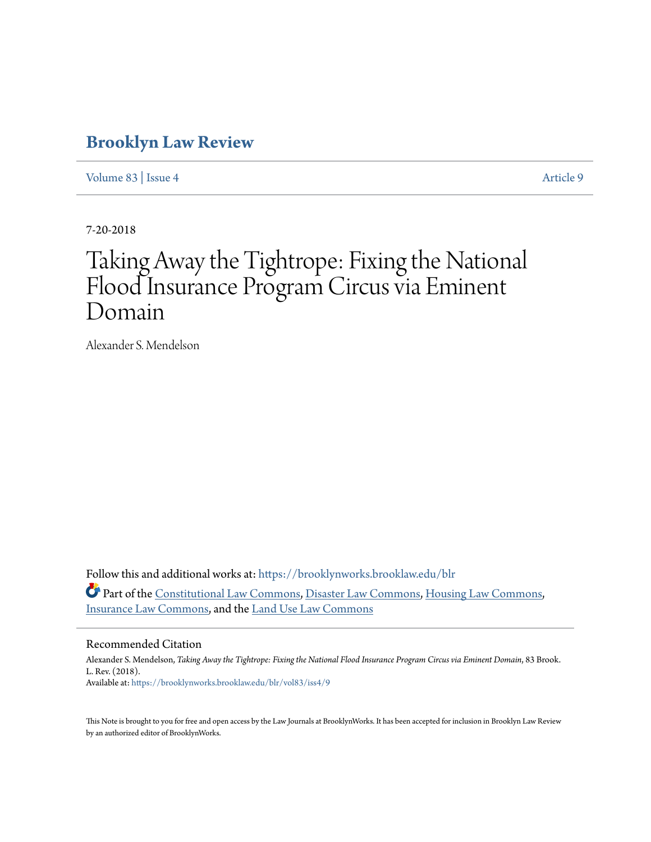# **[Brooklyn Law Review](https://brooklynworks.brooklaw.edu/blr?utm_source=brooklynworks.brooklaw.edu%2Fblr%2Fvol83%2Fiss4%2F9&utm_medium=PDF&utm_campaign=PDFCoverPages)**

[Volume 83](https://brooklynworks.brooklaw.edu/blr/vol83?utm_source=brooklynworks.brooklaw.edu%2Fblr%2Fvol83%2Fiss4%2F9&utm_medium=PDF&utm_campaign=PDFCoverPages) | [Issue 4](https://brooklynworks.brooklaw.edu/blr/vol83/iss4?utm_source=brooklynworks.brooklaw.edu%2Fblr%2Fvol83%2Fiss4%2F9&utm_medium=PDF&utm_campaign=PDFCoverPages) [Article 9](https://brooklynworks.brooklaw.edu/blr/vol83/iss4/9?utm_source=brooklynworks.brooklaw.edu%2Fblr%2Fvol83%2Fiss4%2F9&utm_medium=PDF&utm_campaign=PDFCoverPages)

7-20-2018

# Taking Away the Tightrope: Fixing the National Flood Insurance Program Circus via Eminent Domain

Alexander S. Mendelson

Follow this and additional works at: [https://brooklynworks.brooklaw.edu/blr](https://brooklynworks.brooklaw.edu/blr?utm_source=brooklynworks.brooklaw.edu%2Fblr%2Fvol83%2Fiss4%2F9&utm_medium=PDF&utm_campaign=PDFCoverPages) Part of the [Constitutional Law Commons,](http://network.bepress.com/hgg/discipline/589?utm_source=brooklynworks.brooklaw.edu%2Fblr%2Fvol83%2Fiss4%2F9&utm_medium=PDF&utm_campaign=PDFCoverPages) [Disaster Law Commons](http://network.bepress.com/hgg/discipline/1348?utm_source=brooklynworks.brooklaw.edu%2Fblr%2Fvol83%2Fiss4%2F9&utm_medium=PDF&utm_campaign=PDFCoverPages), [Housing Law Commons](http://network.bepress.com/hgg/discipline/846?utm_source=brooklynworks.brooklaw.edu%2Fblr%2Fvol83%2Fiss4%2F9&utm_medium=PDF&utm_campaign=PDFCoverPages), [Insurance Law Commons](http://network.bepress.com/hgg/discipline/607?utm_source=brooklynworks.brooklaw.edu%2Fblr%2Fvol83%2Fiss4%2F9&utm_medium=PDF&utm_campaign=PDFCoverPages), and the [Land Use Law Commons](http://network.bepress.com/hgg/discipline/852?utm_source=brooklynworks.brooklaw.edu%2Fblr%2Fvol83%2Fiss4%2F9&utm_medium=PDF&utm_campaign=PDFCoverPages)

#### Recommended Citation

Alexander S. Mendelson, *Taking Away the Tightrope: Fixing the National Flood Insurance Program Circus via Eminent Domain*, 83 Brook. L. Rev. (2018). Available at: [https://brooklynworks.brooklaw.edu/blr/vol83/iss4/9](https://brooklynworks.brooklaw.edu/blr/vol83/iss4/9?utm_source=brooklynworks.brooklaw.edu%2Fblr%2Fvol83%2Fiss4%2F9&utm_medium=PDF&utm_campaign=PDFCoverPages)

This Note is brought to you for free and open access by the Law Journals at BrooklynWorks. It has been accepted for inclusion in Brooklyn Law Review by an authorized editor of BrooklynWorks.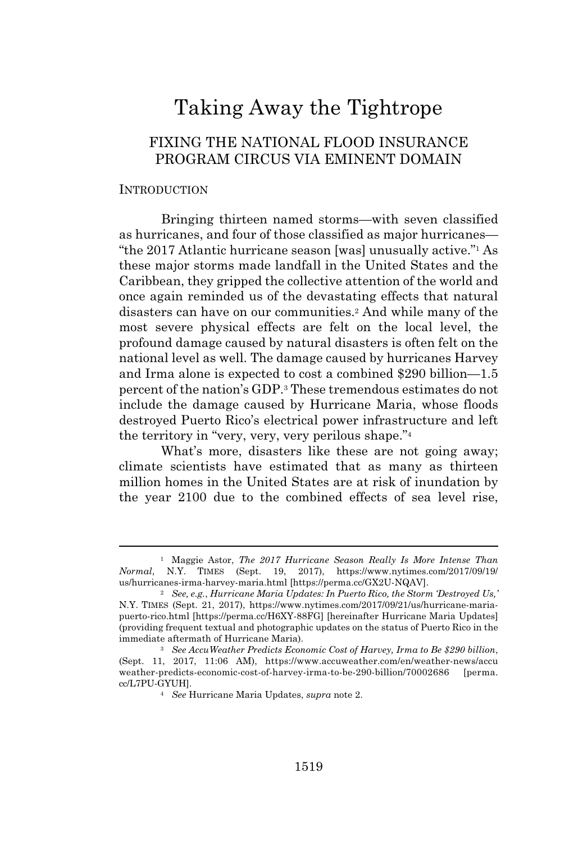# Taking Away the Tightrope

# FIXING THE NATIONAL FLOOD INSURANCE PROGRAM CIRCUS VIA EMINENT DOMAIN

#### **INTRODUCTION**

Bringing thirteen named storms—with seven classified as hurricanes, and four of those classified as major hurricanes— "the 2017 Atlantic hurricane season [was] unusually active."<sup>1</sup> As these major storms made landfall in the United States and the Caribbean, they gripped the collective attention of the world and once again reminded us of the devastating effects that natural disasters can have on our communities.<sup>2</sup> And while many of the most severe physical effects are felt on the local level, the profound damage caused by natural disasters is often felt on the national level as well. The damage caused by hurricanes Harvey and Irma alone is expected to cost a combined \$290 billion—1.5 percent of the nation's GDP.<sup>3</sup> These tremendous estimates do not include the damage caused by Hurricane Maria, whose floods destroyed Puerto Rico's electrical power infrastructure and left the territory in "very, very, very perilous shape."<sup>4</sup>

What's more, disasters like these are not going away; climate scientists have estimated that as many as thirteen million homes in the United States are at risk of inundation by the year 2100 due to the combined effects of sea level rise,

<sup>1</sup> Maggie Astor, *The 2017 Hurricane Season Really Is More Intense Than Normal*, N.Y. TIMES (Sept. 19, 2017), https://www.nytimes.com/2017/09/19/ us/hurricanes-irma-harvey-maria.html [https://perma.cc/GX2U-NQAV].

<sup>2</sup> *See, e.g.*, *Hurricane Maria Updates: In Puerto Rico, the Storm 'Destroyed Us,'* N.Y. TIMES (Sept. 21, 2017), https://www.nytimes.com/2017/09/21/us/hurricane-mariapuerto-rico.html [https://perma.cc/H6XY-88FG] [hereinafter Hurricane Maria Updates] (providing frequent textual and photographic updates on the status of Puerto Rico in the immediate aftermath of Hurricane Maria).

<sup>3</sup> *See AccuWeather Predicts Economic Cost of Harvey, Irma to Be \$290 billion*, (Sept. 11, 2017, 11:06 AM), https://www.accuweather.com/en/weather-news/accu weather-predicts-economic-cost-of-harvey-irma-to-be-290-billion/70002686 [perma. cc/L7PU-GYUH].

<sup>4</sup> *See* Hurricane Maria Updates, *supra* note 2.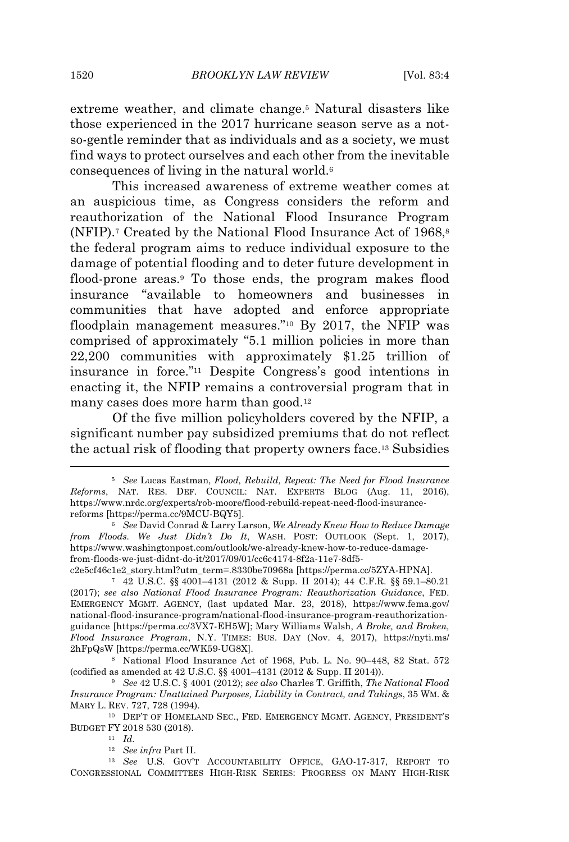extreme weather, and climate change.<sup>5</sup> Natural disasters like those experienced in the 2017 hurricane season serve as a notso-gentle reminder that as individuals and as a society, we must find ways to protect ourselves and each other from the inevitable consequences of living in the natural world.<sup>6</sup>

This increased awareness of extreme weather comes at an auspicious time, as Congress considers the reform and reauthorization of the National Flood Insurance Program (NFIP).<sup>7</sup> Created by the National Flood Insurance Act of  $1968$ <sup>8</sup> the federal program aims to reduce individual exposure to the damage of potential flooding and to deter future development in flood-prone areas.<sup>9</sup> To those ends, the program makes flood insurance "available to homeowners and businesses in communities that have adopted and enforce appropriate floodplain management measures."<sup>10</sup> By 2017, the NFIP was comprised of approximately "5.1 million policies in more than 22,200 communities with approximately \$1.25 trillion of insurance in force."<sup>11</sup> Despite Congress's good intentions in enacting it, the NFIP remains a controversial program that in many cases does more harm than good.<sup>12</sup>

Of the five million policyholders covered by the NFIP, a significant number pay subsidized premiums that do not reflect the actual risk of flooding that property owners face.<sup>13</sup> Subsidies

c2e5cf46c1e2\_story.html?utm\_term=.8330be70968a [https://perma.cc/5ZYA-HPNA].

<sup>11</sup> *Id.*

<sup>5</sup> *See* Lucas Eastman, *Flood, Rebuild, Repeat: The Need for Flood Insurance Reforms*, NAT. RES. DEF. COUNCIL: NAT. EXPERTS BLOG (Aug. 11, 2016), https://www.nrdc.org/experts/rob-moore/flood-rebuild-repeat-need-flood-insurancereforms [https://perma.cc/9MCU-BQY5].

<sup>6</sup> *See* David Conrad & Larry Larson, *We Already Knew How to Reduce Damage from Floods. We Just Didn't Do It*, WASH. POST: OUTLOOK (Sept. 1, 2017), https://www.washingtonpost.com/outlook/we-already-knew-how-to-reduce-damagefrom-floods-we-just-didnt-do-it/2017/09/01/cc6c4174-8f2a-11e7-8df5-

<sup>7</sup> 42 U.S.C. §§ 4001–4131 (2012 & Supp. II 2014); 44 C.F.R. §§ 59.1–80.21 (2017); *see also National Flood Insurance Program: Reauthorization Guidance*, FED. EMERGENCY MGMT. AGENCY, (last updated Mar. 23, 2018), https://www.fema.gov/ national-flood-insurance-program/national-flood-insurance-program-reauthorizationguidance [https://perma.cc/3VX7-EH5W]; Mary Williams Walsh, *A Broke, and Broken, Flood Insurance Program*, N.Y. TIMES: BUS. DAY (Nov. 4, 2017), https://nyti.ms/ 2hFpQsW [https://perma.cc/WK59-UG8X].

<sup>8</sup> National Flood Insurance Act of 1968, Pub. L. No. 90–448, 82 Stat. 572 (codified as amended at 42 U.S.C. §§ 4001–4131 (2012 & Supp. II 2014)).

<sup>9</sup> *See* 42 U.S.C. § 4001 (2012); *see also* Charles T. Griffith, *The National Flood Insurance Program: Unattained Purposes, Liability in Contract, and Takings*, 35 WM. & MARY L. REV. 727, 728 (1994).

<sup>10</sup> DEP'T OF HOMELAND SEC., FED. EMERGENCY MGMT. AGENCY, PRESIDENT'S BUDGET FY 2018 530 (2018).

<sup>12</sup> *See infra* Part II.

<sup>13</sup> *See* U.S. GOV'T ACCOUNTABILITY OFFICE, GAO-17-317, REPORT TO CONGRESSIONAL COMMITTEES HIGH-RISK SERIES: PROGRESS ON MANY HIGH-RISK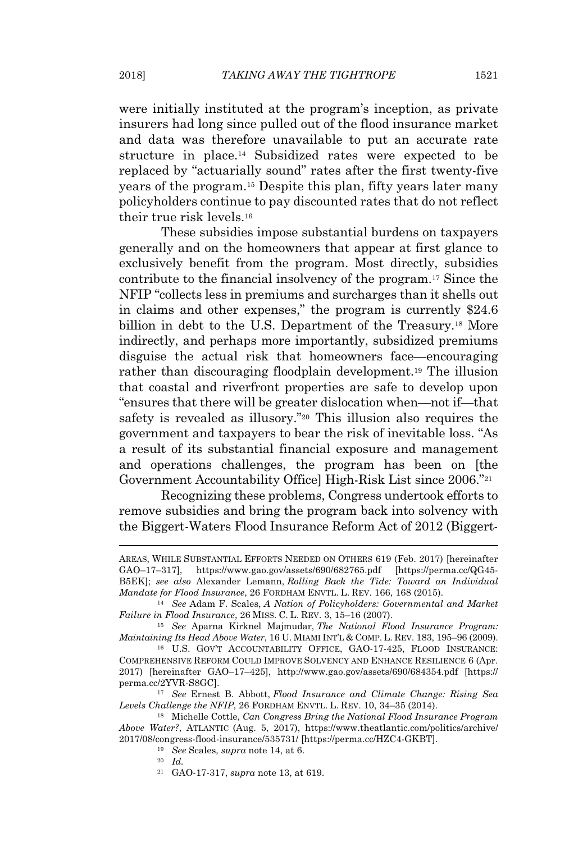were initially instituted at the program's inception, as private insurers had long since pulled out of the flood insurance market and data was therefore unavailable to put an accurate rate structure in place.<sup>14</sup> Subsidized rates were expected to be replaced by "actuarially sound" rates after the first twenty-five years of the program.<sup>15</sup> Despite this plan, fifty years later many policyholders continue to pay discounted rates that do not reflect their true risk levels.<sup>16</sup>

These subsidies impose substantial burdens on taxpayers generally and on the homeowners that appear at first glance to exclusively benefit from the program. Most directly, subsidies contribute to the financial insolvency of the program.<sup>17</sup> Since the NFIP "collects less in premiums and surcharges than it shells out in claims and other expenses," the program is currently \$24.6 billion in debt to the U.S. Department of the Treasury.<sup>18</sup> More indirectly, and perhaps more importantly, subsidized premiums disguise the actual risk that homeowners face—encouraging rather than discouraging floodplain development.<sup>19</sup> The illusion that coastal and riverfront properties are safe to develop upon "ensures that there will be greater dislocation when—not if—that safety is revealed as illusory."<sup>20</sup> This illusion also requires the government and taxpayers to bear the risk of inevitable loss. "As a result of its substantial financial exposure and management and operations challenges, the program has been on [the Government Accountability Office] High-Risk List since 2006."<sup>21</sup>

Recognizing these problems, Congress undertook efforts to remove subsidies and bring the program back into solvency with the Biggert-Waters Flood Insurance Reform Act of 2012 (Biggert-

<sup>21</sup> GAO-17-317, *supra* note 13, at 619.

AREAS, WHILE SUBSTANTIAL EFFORTS NEEDED ON OTHERS 619 (Feb. 2017) [hereinafter GAO–17–317], https://www.gao.gov/assets/690/682765.pdf [https://perma.cc/QG45- B5EK]; *see also* Alexander Lemann, *Rolling Back the Tide: Toward an Individual Mandate for Flood Insurance*, 26 FORDHAM ENVTL. L. REV. 166, 168 (2015).

<sup>14</sup> *See* Adam F. Scales, *A Nation of Policyholders: Governmental and Market Failure in Flood Insurance*, 26 MISS. C. L. REV. 3, 15–16 (2007).

<sup>15</sup> *See* Aparna Kirknel Majmudar, *The National Flood Insurance Program: Maintaining Its Head Above Water*, 16 U. MIAMI INT'L & COMP. L. REV. 183, 195–96 (2009).

<sup>16</sup> U.S. GOV'T ACCOUNTABILITY OFFICE, GAO-17-425, FLOOD INSURANCE: COMPREHENSIVE REFORM COULD IMPROVE SOLVENCY AND ENHANCE RESILIENCE 6 (Apr. 2017) [hereinafter GAO–17–425], http://www.gao.gov/assets/690/684354.pdf [https:// perma.cc/2YVR-S8GC].

<sup>17</sup> *See* Ernest B. Abbott, *Flood Insurance and Climate Change: Rising Sea Levels Challenge the NFIP*, 26 FORDHAM ENVTL. L. REV. 10, 34–35 (2014).

<sup>18</sup> Michelle Cottle, *Can Congress Bring the National Flood Insurance Program Above Water?*, ATLANTIC (Aug. 5, 2017), https://www.theatlantic.com/politics/archive/ 2017/08/congress-flood-insurance/535731/ [https://perma.cc/HZC4-GKBT].

<sup>19</sup> *See* Scales, *supra* note 14, at 6.

<sup>20</sup> *Id.*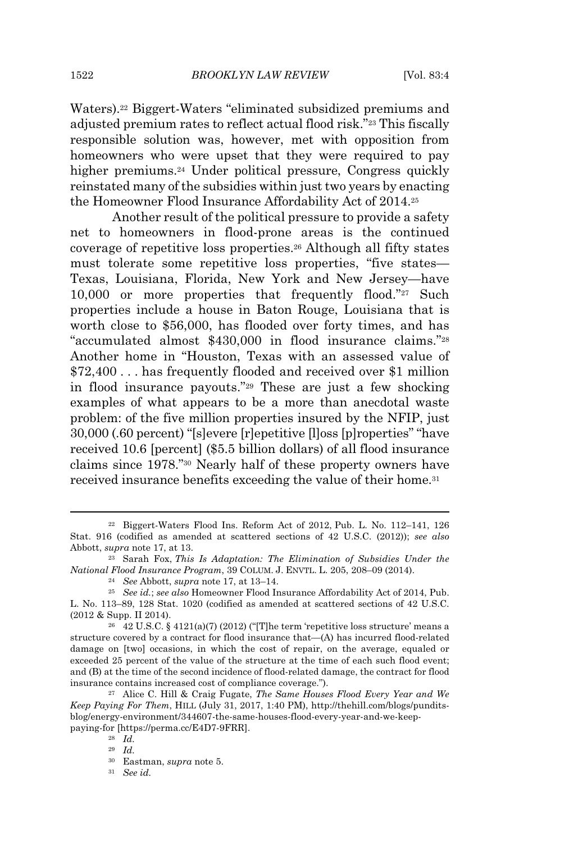1522 *BROOKLYN LAW REVIEW* [Vol. 83:4

Waters).<sup>22</sup> Biggert-Waters "eliminated subsidized premiums and adjusted premium rates to reflect actual flood risk."<sup>23</sup> This fiscally responsible solution was, however, met with opposition from homeowners who were upset that they were required to pay higher premiums.<sup>24</sup> Under political pressure, Congress quickly reinstated many of the subsidies within just two years by enacting the Homeowner Flood Insurance Affordability Act of 2014.<sup>25</sup>

Another result of the political pressure to provide a safety net to homeowners in flood-prone areas is the continued coverage of repetitive loss properties.<sup>26</sup> Although all fifty states must tolerate some repetitive loss properties, "five states— Texas, Louisiana, Florida, New York and New Jersey—have 10,000 or more properties that frequently flood."<sup>27</sup> Such properties include a house in Baton Rouge, Louisiana that is worth close to \$56,000, has flooded over forty times, and has "accumulated almost \$430,000 in flood insurance claims."<sup>28</sup> Another home in "Houston, Texas with an assessed value of \$72,400 . . . has frequently flooded and received over \$1 million in flood insurance payouts."<sup>29</sup> These are just a few shocking examples of what appears to be a more than anecdotal waste problem: of the five million properties insured by the NFIP, just 30,000 (.60 percent) "[s]evere [r]epetitive [l]oss [p]roperties" "have received 10.6 [percent] (\$5.5 billion dollars) of all flood insurance claims since 1978."<sup>30</sup> Nearly half of these property owners have received insurance benefits exceeding the value of their home.<sup>31</sup>

<sup>22</sup> Biggert-Waters Flood Ins. Reform Act of 2012, Pub. L. No. 112–141, 126 Stat. 916 (codified as amended at scattered sections of 42 U.S.C. (2012)); *see also* Abbott, *supra* note 17, at 13.

<sup>23</sup> Sarah Fox, *This Is Adaptation: The Elimination of Subsidies Under the National Flood Insurance Program*, 39 COLUM. J. ENVTL. L. 205, 208–09 (2014).

<sup>24</sup> *See* Abbott, *supra* note 17, at 13–14.

<sup>25</sup> *See id.*; *see also* Homeowner Flood Insurance Affordability Act of 2014, Pub. L. No. 113–89, 128 Stat. 1020 (codified as amended at scattered sections of 42 U.S.C. (2012 & Supp. II 2014).

<sup>&</sup>lt;sup>26</sup> 42 U.S.C. § 4121(a)(7) (2012) ("[T]he term 'repetitive loss structure' means a structure covered by a contract for flood insurance that—(A) has incurred flood-related damage on [two] occasions, in which the cost of repair, on the average, equaled or exceeded 25 percent of the value of the structure at the time of each such flood event; and (B) at the time of the second incidence of flood-related damage, the contract for flood insurance contains increased cost of compliance coverage.").

<sup>27</sup> Alice C. Hill & Craig Fugate, *The Same Houses Flood Every Year and We Keep Paying For Them*, HILL (July 31, 2017, 1:40 PM), http://thehill.com/blogs/punditsblog/energy-environment/344607-the-same-houses-flood-every-year-and-we-keeppaying-for [https://perma.cc/E4D7-9FRR].

<sup>28</sup> *Id.*

<sup>29</sup> *Id.*

<sup>30</sup> Eastman, *supra* note 5.

<sup>31</sup> *See id.*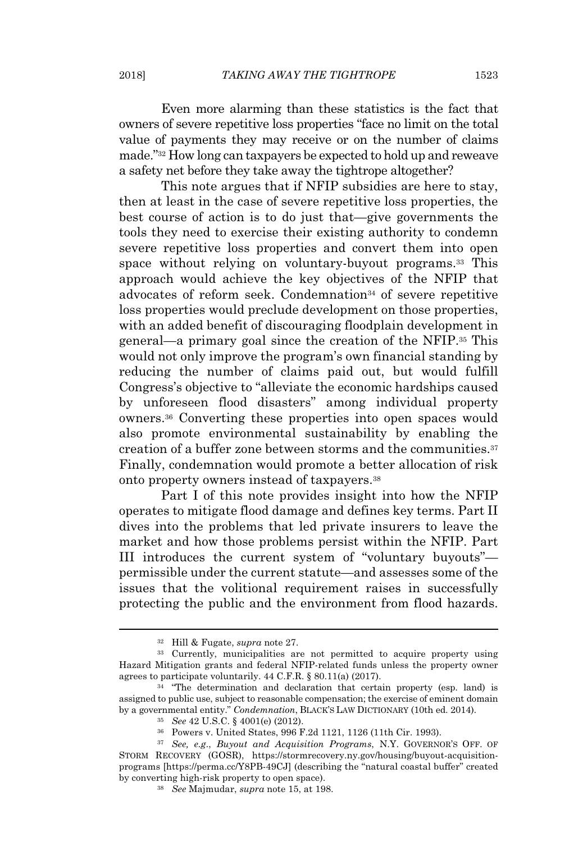Even more alarming than these statistics is the fact that owners of severe repetitive loss properties "face no limit on the total value of payments they may receive or on the number of claims made."<sup>32</sup> How long can taxpayers be expected to hold up and reweave a safety net before they take away the tightrope altogether?

This note argues that if NFIP subsidies are here to stay, then at least in the case of severe repetitive loss properties, the best course of action is to do just that—give governments the tools they need to exercise their existing authority to condemn severe repetitive loss properties and convert them into open space without relying on voluntary-buyout programs.<sup>33</sup> This approach would achieve the key objectives of the NFIP that advocates of reform seek. Condemnation<sup>34</sup> of severe repetitive loss properties would preclude development on those properties, with an added benefit of discouraging floodplain development in general—a primary goal since the creation of the NFIP.<sup>35</sup> This would not only improve the program's own financial standing by reducing the number of claims paid out, but would fulfill Congress's objective to "alleviate the economic hardships caused by unforeseen flood disasters" among individual property owners.<sup>36</sup> Converting these properties into open spaces would also promote environmental sustainability by enabling the creation of a buffer zone between storms and the communities.<sup>37</sup> Finally, condemnation would promote a better allocation of risk onto property owners instead of taxpayers.<sup>38</sup>

Part I of this note provides insight into how the NFIP operates to mitigate flood damage and defines key terms. Part II dives into the problems that led private insurers to leave the market and how those problems persist within the NFIP. Part III introduces the current system of "voluntary buyouts" permissible under the current statute—and assesses some of the issues that the volitional requirement raises in successfully protecting the public and the environment from flood hazards.

<sup>32</sup> Hill & Fugate, *supra* note 27.

<sup>33</sup> Currently, municipalities are not permitted to acquire property using Hazard Mitigation grants and federal NFIP-related funds unless the property owner agrees to participate voluntarily. 44 C.F.R. § 80.11(a) (2017).

<sup>&</sup>lt;sup>34</sup> "The determination and declaration that certain property (esp. land) is assigned to public use, subject to reasonable compensation; the exercise of eminent domain by a governmental entity." *Condemnation*, BLACK'S LAW DICTIONARY (10th ed. 2014).

<sup>35</sup> *See* 42 U.S.C. § 4001(e) (2012).

<sup>36</sup> Powers v. United States, 996 F.2d 1121, 1126 (11th Cir. 1993).

<sup>37</sup> *See, e.g*., *Buyout and Acquisition Programs*, N.Y. GOVERNOR'S OFF. OF STORM RECOVERY (GOSR), https://stormrecovery.ny.gov/housing/buyout-acquisitionprograms [https://perma.cc/Y8PB-49CJ] (describing the "natural coastal buffer" created by converting high-risk property to open space).

<sup>38</sup> *See* Majmudar, *supra* note 15, at 198.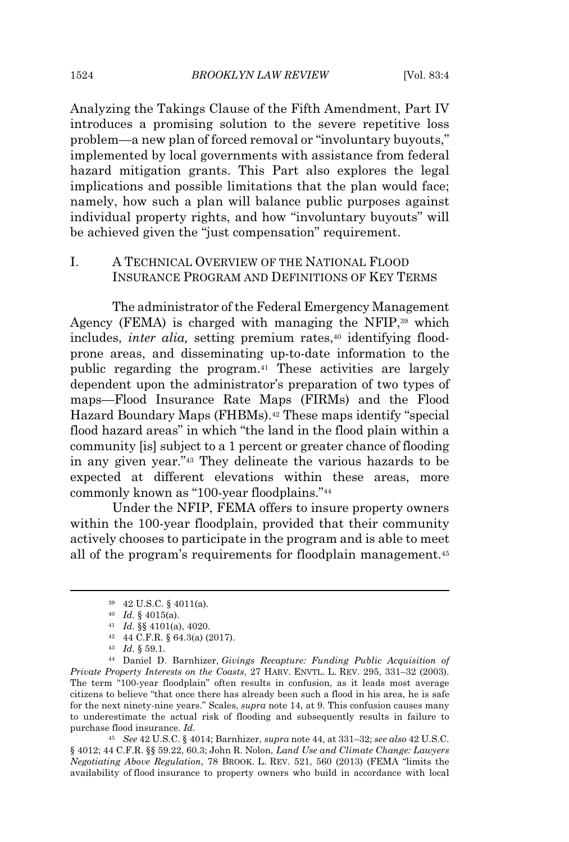Analyzing the Takings Clause of the Fifth Amendment, Part IV introduces a promising solution to the severe repetitive loss problem—a new plan of forced removal or "involuntary buyouts," implemented by local governments with assistance from federal hazard mitigation grants. This Part also explores the legal implications and possible limitations that the plan would face; namely, how such a plan will balance public purposes against individual property rights, and how "involuntary buyouts" will be achieved given the "just compensation" requirement.

### I. A TECHNICAL OVERVIEW OF THE NATIONAL FLOOD INSURANCE PROGRAM AND DEFINITIONS OF KEY TERMS

The administrator of the Federal Emergency Management Agency (FEMA) is charged with managing the NFIP,<sup>39</sup> which includes, *inter alia*, setting premium rates,<sup>40</sup> identifying floodprone areas, and disseminating up-to-date information to the public regarding the program.<sup>41</sup> These activities are largely dependent upon the administrator's preparation of two types of maps—Flood Insurance Rate Maps (FIRMs) and the Flood Hazard Boundary Maps (FHBMs).<sup>42</sup> These maps identify "special flood hazard areas" in which "the land in the flood plain within a community [is] subject to a 1 percent or greater chance of flooding in any given year."<sup>43</sup> They delineate the various hazards to be expected at different elevations within these areas, more commonly known as "100-year floodplains."<sup>44</sup>

Under the NFIP, FEMA offers to insure property owners within the 100-year floodplain, provided that their community actively chooses to participate in the program and is able to meet all of the program's requirements for floodplain management.<sup>45</sup>

<sup>45</sup> *See* 42 U.S.C. § 4014; Barnhizer, *supra* note 44, at 331–32; *see also* 42 U.S.C. § 4012; 44 C.F.R. §§ 59.22, 60.3; John R. Nolon, *Land Use and Climate Change: Lawyers Negotiating Above Regulation*, 78 BROOK. L. REV. 521, 560 (2013) (FEMA "limits the availability of flood insurance to property owners who build in accordance with local

<sup>39</sup> 42 U.S.C. § 4011(a).

<sup>40</sup> *Id.* § 4015(a).

<sup>41</sup> *Id.* §§ 4101(a), 4020.

<sup>42</sup> 44 C.F.R. § 64.3(a) (2017).

<sup>43</sup> *Id.* § 59.1.

<sup>44</sup> Daniel D. Barnhizer, *Givings Recapture: Funding Public Acquisition of Private Property Interests on the Coasts*, 27 HARV. ENVTL. L. REV. 295, 331–32 (2003). The term "100-year floodplain" often results in confusion, as it leads most average citizens to believe "that once there has already been such a flood in his area, he is safe for the next ninety-nine years." Scales, *supra* note 14, at 9. This confusion causes many to underestimate the actual risk of flooding and subsequently results in failure to purchase flood insurance. *Id.*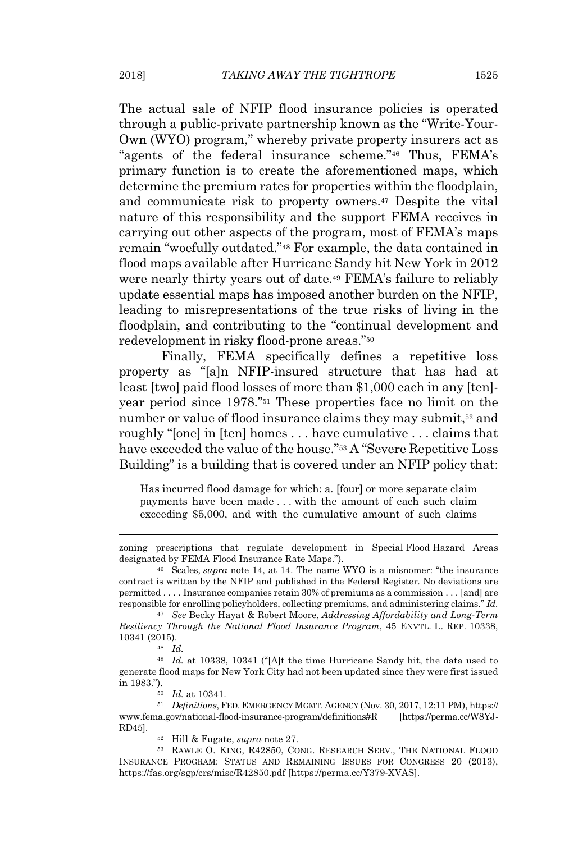The actual sale of NFIP flood insurance policies is operated through a public-private partnership known as the "Write-Your-Own (WYO) program," whereby private property insurers act as "agents of the federal insurance scheme."<sup>46</sup> Thus, FEMA's primary function is to create the aforementioned maps, which determine the premium rates for properties within the floodplain, and communicate risk to property owners.<sup>47</sup> Despite the vital nature of this responsibility and the support FEMA receives in carrying out other aspects of the program, most of FEMA's maps remain "woefully outdated."<sup>48</sup> For example, the data contained in flood maps available after Hurricane Sandy hit New York in 2012 were nearly thirty years out of date.<sup>49</sup> FEMA's failure to reliably update essential maps has imposed another burden on the NFIP, leading to misrepresentations of the true risks of living in the floodplain, and contributing to the "continual development and redevelopment in risky flood-prone areas."<sup>50</sup>

Finally, FEMA specifically defines a repetitive loss property as "[a]n NFIP-insured structure that has had at least [two] paid flood losses of more than \$1,000 each in any [ten] year period since 1978."<sup>51</sup> These properties face no limit on the number or value of flood insurance claims they may submit,<sup>52</sup> and roughly "[one] in [ten] homes . . . have cumulative . . . claims that have exceeded the value of the house."<sup>53</sup> A "Severe Repetitive Loss Building" is a building that is covered under an NFIP policy that:

Has incurred flood damage for which: a. [four] or more separate claim payments have been made . . . with the amount of each such claim exceeding \$5,000, and with the cumulative amount of such claims

<sup>47</sup> *See* Becky Hayat & Robert Moore, *Addressing Affordability and Long-Term Resiliency Through the National Flood Insurance Program*, 45 ENVTL. L. REP. 10338, 10341 (2015).

zoning prescriptions that regulate development in Special Flood Hazard Areas designated by FEMA Flood Insurance Rate Maps.").

<sup>46</sup> Scales, *supra* note 14, at 14. The name WYO is a misnomer: "the insurance contract is written by the NFIP and published in the Federal Register. No deviations are permitted . . . . Insurance companies retain 30% of premiums as a commission . . . [and] are responsible for enrolling policyholders, collecting premiums, and administering claims." *Id.*

<sup>48</sup> *Id.*

<sup>49</sup> *Id.* at 10338, 10341 ("[A]t the time Hurricane Sandy hit, the data used to generate flood maps for New York City had not been updated since they were first issued in 1983.").

<sup>50</sup> *Id.* at 10341.

<sup>51</sup> *Definitions*, FED. EMERGENCY MGMT. AGENCY (Nov. 30, 2017, 12:11 PM), https:// www.fema.gov/national-flood-insurance-program/definitions#R [https://perma.cc/W8YJ-RD45].

<sup>52</sup> Hill & Fugate, *supra* note 27.

<sup>53</sup> RAWLE O. KING, R42850, CONG. RESEARCH SERV., THE NATIONAL FLOOD INSURANCE PROGRAM: STATUS AND REMAINING ISSUES FOR CONGRESS 20 (2013), https://fas.org/sgp/crs/misc/R42850.pdf [https://perma.cc/Y379-XVAS].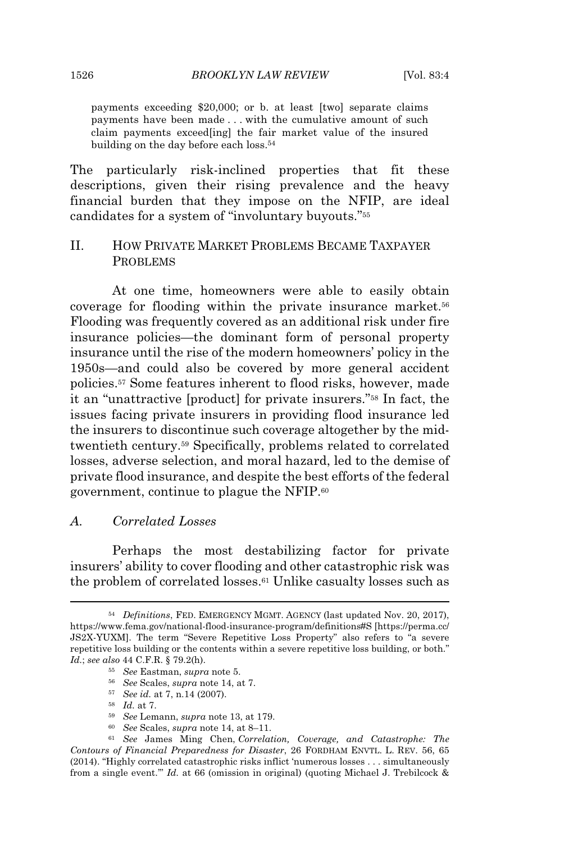payments exceeding \$20,000; or b. at least [two] separate claims payments have been made . . . with the cumulative amount of such claim payments exceed[ing] the fair market value of the insured building on the day before each loss.<sup>54</sup>

The particularly risk-inclined properties that fit these descriptions, given their rising prevalence and the heavy financial burden that they impose on the NFIP, are ideal candidates for a system of "involuntary buyouts."<sup>55</sup>

# II. HOW PRIVATE MARKET PROBLEMS BECAME TAXPAYER PROBLEMS

At one time, homeowners were able to easily obtain coverage for flooding within the private insurance market.<sup>56</sup> Flooding was frequently covered as an additional risk under fire insurance policies—the dominant form of personal property insurance until the rise of the modern homeowners' policy in the 1950s—and could also be covered by more general accident policies.<sup>57</sup> Some features inherent to flood risks, however, made it an "unattractive [product] for private insurers."<sup>58</sup> In fact, the issues facing private insurers in providing flood insurance led the insurers to discontinue such coverage altogether by the midtwentieth century.<sup>59</sup> Specifically, problems related to correlated losses, adverse selection, and moral hazard, led to the demise of private flood insurance, and despite the best efforts of the federal government, continue to plague the NFIP.<sup>60</sup>

#### *A. Correlated Losses*

Perhaps the most destabilizing factor for private insurers' ability to cover flooding and other catastrophic risk was the problem of correlated losses.<sup>61</sup> Unlike casualty losses such as

<sup>54</sup> *Definitions*, FED. EMERGENCY MGMT. AGENCY (last updated Nov. 20, 2017), https://www.fema.gov/national-flood-insurance-program/definitions#S [https://perma.cc/ JS2X-YUXM]. The term "Severe Repetitive Loss Property" also refers to "a severe repetitive loss building or the contents within a severe repetitive loss building, or both." *Id.*; *see also* 44 C.F.R. § 79.2(h).

<sup>55</sup> *See* Eastman, *supra* note 5.

<sup>56</sup> *See* Scales, *supra* note 14, at 7.

<sup>57</sup> *See id.* at 7, n.14 (2007).

<sup>58</sup> *Id.* at 7.

<sup>59</sup> *See* Lemann, *supra* note 13, at 179.

<sup>60</sup> *See* Scales, *supra* note 14, at 8–11.

<sup>61</sup> *See* James Ming Chen, *Correlation, Coverage, and Catastrophe: The Contours of Financial Preparedness for Disaster*, 26 FORDHAM ENVTL. L. REV. 56, 65 (2014). "Highly correlated catastrophic risks inflict 'numerous losses . . . simultaneously from a single event.'" *Id.* at 66 (omission in original) (quoting Michael J. Trebilcock &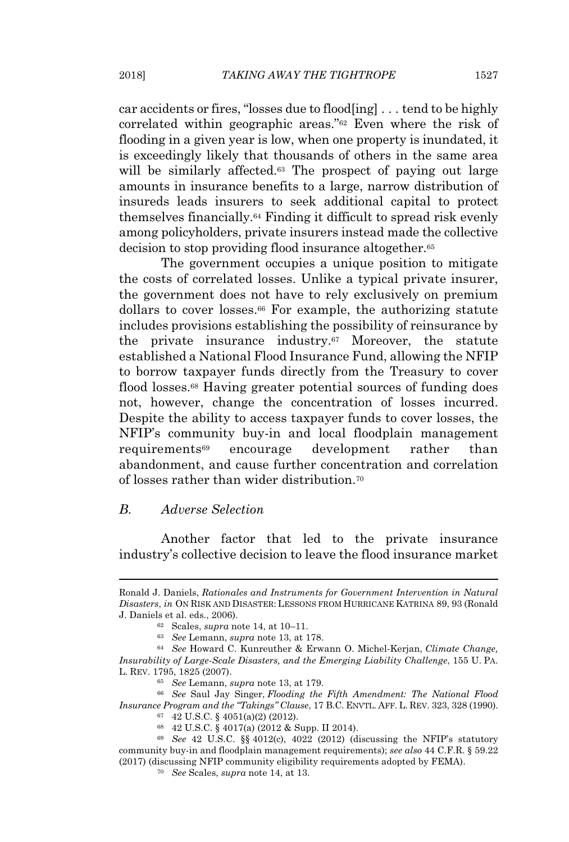car accidents or fires, "losses due to flood[ing] . . . tend to be highly correlated within geographic areas."<sup>62</sup> Even where the risk of flooding in a given year is low, when one property is inundated, it is exceedingly likely that thousands of others in the same area will be similarly affected.<sup>63</sup> The prospect of paying out large amounts in insurance benefits to a large, narrow distribution of insureds leads insurers to seek additional capital to protect themselves financially.<sup>64</sup> Finding it difficult to spread risk evenly among policyholders, private insurers instead made the collective decision to stop providing flood insurance altogether.<sup>65</sup>

The government occupies a unique position to mitigate the costs of correlated losses. Unlike a typical private insurer, the government does not have to rely exclusively on premium dollars to cover losses.<sup>66</sup> For example, the authorizing statute includes provisions establishing the possibility of reinsurance by the private insurance industry.<sup>67</sup> Moreover, the statute established a National Flood Insurance Fund, allowing the NFIP to borrow taxpayer funds directly from the Treasury to cover flood losses.<sup>68</sup> Having greater potential sources of funding does not, however, change the concentration of losses incurred. Despite the ability to access taxpayer funds to cover losses, the NFIP's community buy-in and local floodplain management requirements<sup>69</sup> encourage development rather than abandonment, and cause further concentration and correlation of losses rather than wider distribution.<sup>70</sup>

#### *B. Adverse Selection*

Another factor that led to the private insurance industry's collective decision to leave the flood insurance market

Ronald J. Daniels, *Rationales and Instruments for Government Intervention in Natural Disasters*, *in* ON RISK AND DISASTER: LESSONS FROM HURRICANE KATRINA 89, 93 (Ronald J. Daniels et al. eds., 2006).

<sup>62</sup> Scales, *supra* note 14, at 10–11.

<sup>63</sup> *See* Lemann, *supra* note 13, at 178.

<sup>64</sup> *See* Howard C. Kunreuther & Erwann O. Michel-Kerjan, *Climate Change, Insurability of Large-Scale Disasters, and the Emerging Liability Challenge*, 155 U. PA. L. REV. 1795, 1825 (2007).

<sup>65</sup> *See* Lemann, *supra* note 13, at 179.

<sup>66</sup> *See* Saul Jay Singer, *Flooding the Fifth Amendment: The National Flood Insurance Program and the "Takings" Clause*, 17 B.C. ENVTL. AFF. L. REV. 323, 328 (1990).

<sup>67</sup> 42 U.S.C. § 4051(a)(2) (2012).

<sup>68</sup> 42 U.S.C. § 4017(a) (2012 & Supp. II 2014).

<sup>69</sup> *See* 42 U.S.C. §§ 4012(c), 4022 (2012) (discussing the NFIP's statutory community buy-in and floodplain management requirements); *see also* 44 C.F.R. § 59.22 (2017) (discussing NFIP community eligibility requirements adopted by FEMA).

<sup>70</sup> *See* Scales, *supra* note 14, at 13.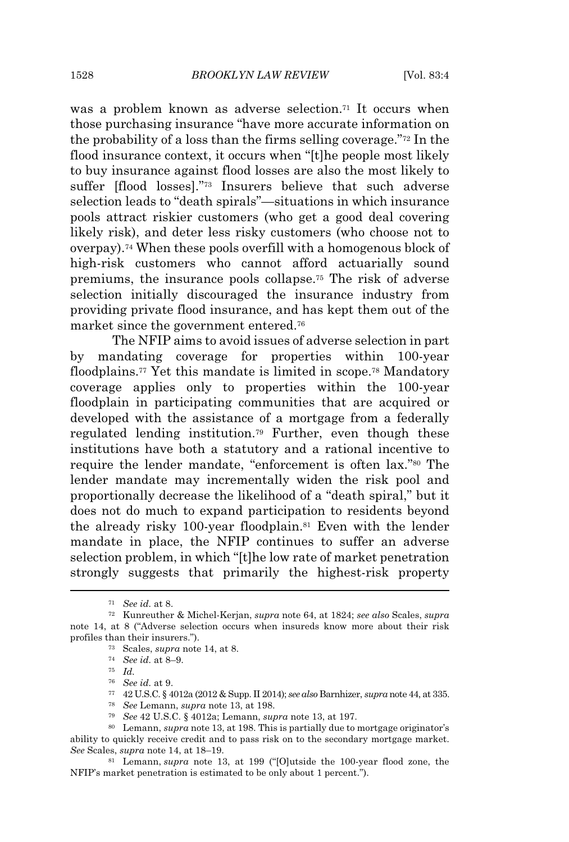was a problem known as adverse selection.<sup>71</sup> It occurs when those purchasing insurance "have more accurate information on the probability of a loss than the firms selling coverage."<sup>72</sup> In the flood insurance context, it occurs when "[t]he people most likely to buy insurance against flood losses are also the most likely to suffer [flood losses]."<sup>73</sup> Insurers believe that such adverse selection leads to "death spirals"—situations in which insurance pools attract riskier customers (who get a good deal covering likely risk), and deter less risky customers (who choose not to overpay).<sup>74</sup> When these pools overfill with a homogenous block of high-risk customers who cannot afford actuarially sound premiums, the insurance pools collapse.<sup>75</sup> The risk of adverse selection initially discouraged the insurance industry from providing private flood insurance, and has kept them out of the market since the government entered.<sup>76</sup>

The NFIP aims to avoid issues of adverse selection in part by mandating coverage for properties within 100-year floodplains.<sup>77</sup> Yet this mandate is limited in scope.<sup>78</sup> Mandatory coverage applies only to properties within the 100-year floodplain in participating communities that are acquired or developed with the assistance of a mortgage from a federally regulated lending institution.<sup>79</sup> Further, even though these institutions have both a statutory and a rational incentive to require the lender mandate, "enforcement is often lax."<sup>80</sup> The lender mandate may incrementally widen the risk pool and proportionally decrease the likelihood of a "death spiral," but it does not do much to expand participation to residents beyond the already risky 100-year floodplain.<sup>81</sup> Even with the lender mandate in place, the NFIP continues to suffer an adverse selection problem, in which "[t]he low rate of market penetration strongly suggests that primarily the highest-risk property

<sup>79</sup> *See* 42 U.S.C. § 4012a; Lemann, *supra* note 13, at 197.

<sup>80</sup> Lemann, *supra* note 13, at 198. This is partially due to mortgage originator's ability to quickly receive credit and to pass risk on to the secondary mortgage market. *See* Scales, *supra* note 14, at 18–19.

<sup>81</sup> Lemann, *supra* note 13, at 199 ("[O]utside the 100-year flood zone, the NFIP's market penetration is estimated to be only about 1 percent.").

<sup>71</sup> *See id.* at 8.

<sup>72</sup> Kunreuther & Michel-Kerjan, *supra* note 64, at 1824; *see also* Scales, *supra* note 14, at 8 ("Adverse selection occurs when insureds know more about their risk profiles than their insurers.").

<sup>73</sup> Scales, *supra* note 14, at 8.

<sup>74</sup> *See id.* at 8–9.

<sup>75</sup> *Id.*

<sup>76</sup> *See id.* at 9.

<sup>77</sup> 42 U.S.C. § 4012a (2012 & Supp. II 2014); *see also* Barnhizer, *supra* note 44, at 335.

<sup>78</sup> *See* Lemann, *supra* note 13, at 198.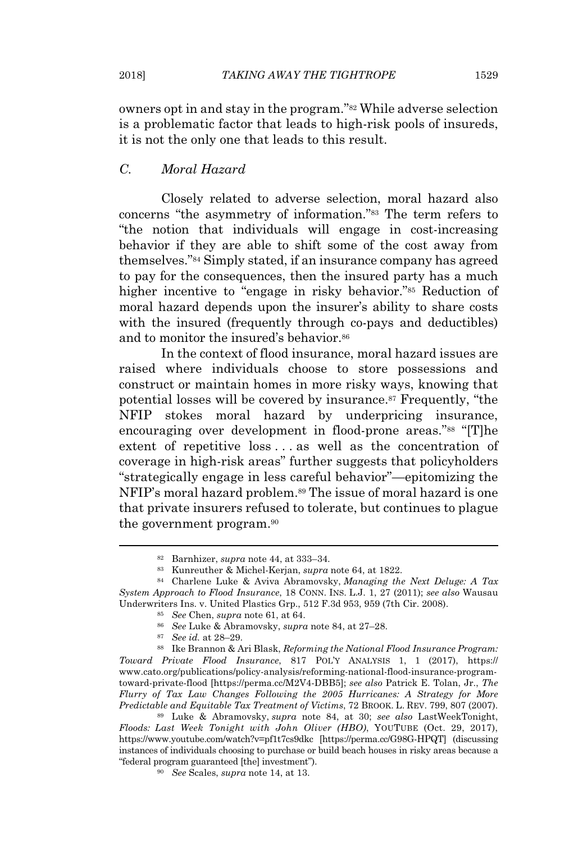owners opt in and stay in the program."<sup>82</sup> While adverse selection is a problematic factor that leads to high-risk pools of insureds, it is not the only one that leads to this result.

# *C. Moral Hazard*

Closely related to adverse selection, moral hazard also concerns "the asymmetry of information."<sup>83</sup> The term refers to "the notion that individuals will engage in cost-increasing behavior if they are able to shift some of the cost away from themselves."<sup>84</sup> Simply stated, if an insurance company has agreed to pay for the consequences, then the insured party has a much higher incentive to "engage in risky behavior."<sup>85</sup> Reduction of moral hazard depends upon the insurer's ability to share costs with the insured (frequently through co-pays and deductibles) and to monitor the insured's behavior.<sup>86</sup>

In the context of flood insurance, moral hazard issues are raised where individuals choose to store possessions and construct or maintain homes in more risky ways, knowing that potential losses will be covered by insurance.<sup>87</sup> Frequently, "the NFIP stokes moral hazard by underpricing insurance, encouraging over development in flood-prone areas."<sup>88</sup> "[T]he extent of repetitive loss . . . as well as the concentration of coverage in high-risk areas" further suggests that policyholders "strategically engage in less careful behavior"—epitomizing the NFIP's moral hazard problem.<sup>89</sup> The issue of moral hazard is one that private insurers refused to tolerate, but continues to plague the government program.<sup>90</sup>

<sup>87</sup> *See id.* at 28–29.

<sup>88</sup> Ike Brannon & Ari Blask, *Reforming the National Flood Insurance Program: Toward Private Flood Insurance*, 817 POL'Y ANALYSIS 1, 1 (2017), https:// www.cato.org/publications/policy-analysis/reforming-national-flood-insurance-programtoward-private-flood [https://perma.cc/M2V4-DBB5]; *see also* Patrick E. Tolan, Jr., *The Flurry of Tax Law Changes Following the 2005 Hurricanes: A Strategy for More Predictable and Equitable Tax Treatment of Victims*, 72 BROOK. L. REV. 799, 807 (2007).

<sup>89</sup> Luke & Abramovsky, *supra* note 84, at 30; *see also* LastWeekTonight, *Floods: Last Week Tonight with John Oliver (HBO)*, YOUTUBE (Oct. 29, 2017), https://www.youtube.com/watch?v=pf1t7cs9dkc [https://perma.cc/G98G-HPQT] (discussing instances of individuals choosing to purchase or build beach houses in risky areas because a "federal program guaranteed [the] investment").

<sup>90</sup> *See* Scales, *supra* note 14, at 13.

<sup>82</sup> Barnhizer, *supra* note 44, at 333–34.

<sup>83</sup> Kunreuther & Michel-Kerjan, *supra* note 64, at 1822.

<sup>84</sup> Charlene Luke & Aviva Abramovsky, *Managing the Next Deluge: A Tax System Approach to Flood Insurance*, 18 CONN. INS. L.J. 1, 27 (2011); *see also* Wausau Underwriters Ins. v. United Plastics Grp., 512 F.3d 953, 959 (7th Cir. 2008).

<sup>85</sup> *See* Chen, *supra* note 61, at 64.

<sup>86</sup> *See* Luke & Abramovsky, *supra* note 84, at 27–28.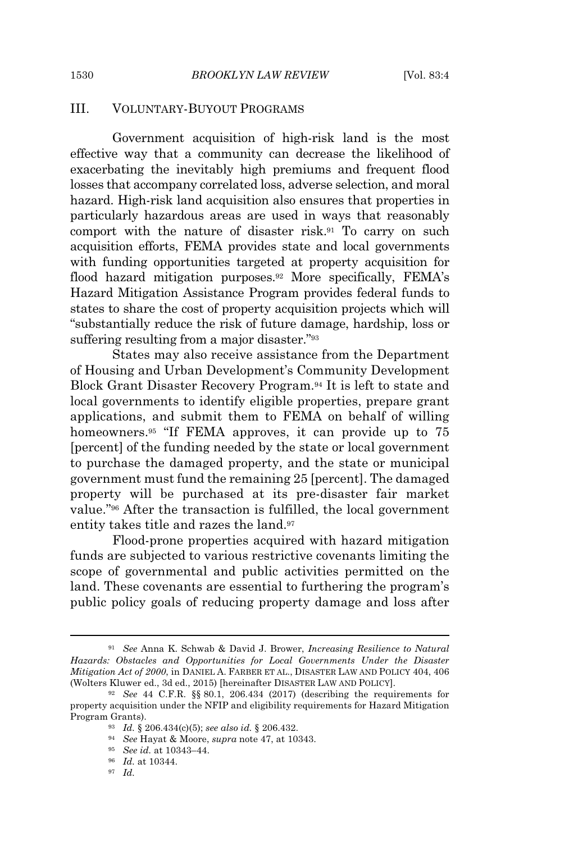#### III. VOLUNTARY-BUYOUT PROGRAMS

Government acquisition of high-risk land is the most effective way that a community can decrease the likelihood of exacerbating the inevitably high premiums and frequent flood losses that accompany correlated loss, adverse selection, and moral hazard. High-risk land acquisition also ensures that properties in particularly hazardous areas are used in ways that reasonably comport with the nature of disaster risk.<sup>91</sup> To carry on such acquisition efforts, FEMA provides state and local governments with funding opportunities targeted at property acquisition for flood hazard mitigation purposes.<sup>92</sup> More specifically, FEMA's Hazard Mitigation Assistance Program provides federal funds to states to share the cost of property acquisition projects which will "substantially reduce the risk of future damage, hardship, loss or suffering resulting from a major disaster."<sup>93</sup>

States may also receive assistance from the Department of Housing and Urban Development's Community Development Block Grant Disaster Recovery Program.<sup>94</sup> It is left to state and local governments to identify eligible properties, prepare grant applications, and submit them to FEMA on behalf of willing homeowners.<sup>95</sup> "If FEMA approves, it can provide up to 75 [percent] of the funding needed by the state or local government to purchase the damaged property, and the state or municipal government must fund the remaining 25 [percent]. The damaged property will be purchased at its pre-disaster fair market value."<sup>96</sup> After the transaction is fulfilled, the local government entity takes title and razes the land.<sup>97</sup>

Flood-prone properties acquired with hazard mitigation funds are subjected to various restrictive covenants limiting the scope of governmental and public activities permitted on the land. These covenants are essential to furthering the program's public policy goals of reducing property damage and loss after

<sup>91</sup> *See* Anna K. Schwab & David J. Brower, *Increasing Resilience to Natural Hazards: Obstacles and Opportunities for Local Governments Under the Disaster Mitigation Act of 2000*, in DANIEL A. FARBER ET AL., DISASTER LAW AND POLICY 404, 406 (Wolters Kluwer ed., 3d ed., 2015) [hereinafter DISASTER LAW AND POLICY].

<sup>92</sup> *See* 44 C.F.R. §§ 80.1, 206.434 (2017) (describing the requirements for property acquisition under the NFIP and eligibility requirements for Hazard Mitigation Program Grants).

<sup>93</sup> *Id.* § 206.434(c)(5); *see also id.* § 206.432.

<sup>94</sup> *See* Hayat & Moore, *supra* note 47, at 10343.

<sup>95</sup> *See id.* at 10343–44.

<sup>96</sup> *Id.* at 10344.

<sup>97</sup> *Id.*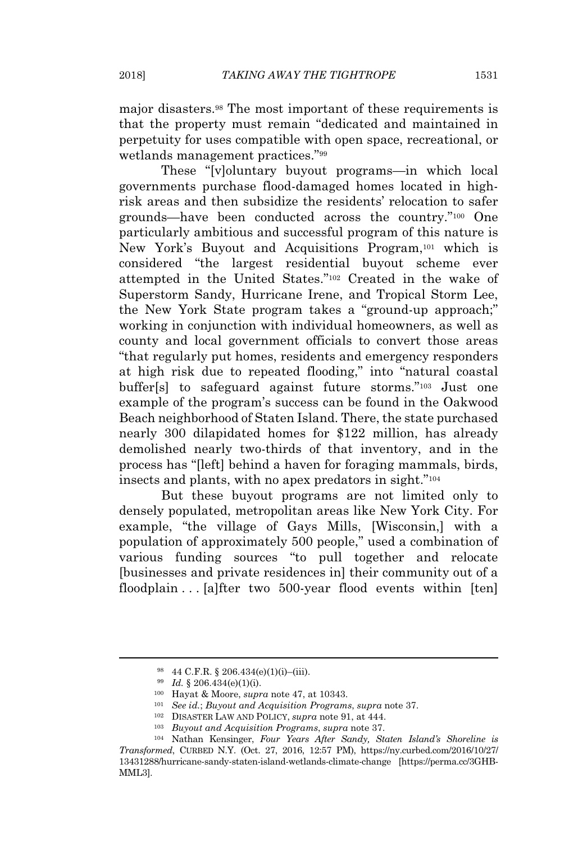major disasters.<sup>98</sup> The most important of these requirements is that the property must remain "dedicated and maintained in perpetuity for uses compatible with open space, recreational, or wetlands management practices."<sup>99</sup>

These "[v]oluntary buyout programs—in which local governments purchase flood-damaged homes located in highrisk areas and then subsidize the residents' relocation to safer grounds—have been conducted across the country."<sup>100</sup> One particularly ambitious and successful program of this nature is New York's Buyout and Acquisitions Program,<sup>101</sup> which is considered "the largest residential buyout scheme ever attempted in the United States."<sup>102</sup> Created in the wake of Superstorm Sandy, Hurricane Irene, and Tropical Storm Lee, the New York State program takes a "ground-up approach;" working in conjunction with individual homeowners, as well as county and local government officials to convert those areas "that regularly put homes, residents and emergency responders at high risk due to repeated flooding," into "natural coastal buffer[s] to safeguard against future storms."<sup>103</sup> Just one example of the program's success can be found in the Oakwood Beach neighborhood of Staten Island. There, the state purchased nearly 300 dilapidated homes for \$122 million, has already demolished nearly two-thirds of that inventory, and in the process has "[left] behind a haven for foraging mammals, birds, insects and plants, with no apex predators in sight."<sup>104</sup>

But these buyout programs are not limited only to densely populated, metropolitan areas like New York City. For example, "the village of Gays Mills, [Wisconsin,] with a population of approximately 500 people," used a combination of various funding sources "to pull together and relocate [businesses and private residences in] their community out of a floodplain . . . [a]fter two 500-year flood events within [ten]

<sup>98</sup> 44 C.F.R. § 206.434(e)(1)(i)–(iii).

<sup>99</sup> *Id.* § 206.434(e)(1)(i).

<sup>100</sup> Hayat & Moore, *supra* note 47, at 10343.

<sup>101</sup> *See id.*; *Buyout and Acquisition Programs*, *supra* note 37.

<sup>102</sup> DISASTER LAW AND POLICY, *supra* note 91, at 444.

<sup>103</sup> *Buyout and Acquisition Programs*, *supra* note 37.

<sup>104</sup> Nathan Kensinger, *Four Years After Sandy, Staten Island's Shoreline is Transformed*, CURBED N.Y. (Oct. 27, 2016, 12:57 PM), https://ny.curbed.com/2016/10/27/ 13431288/hurricane-sandy-staten-island-wetlands-climate-change [https://perma.cc/3GHB-MML3].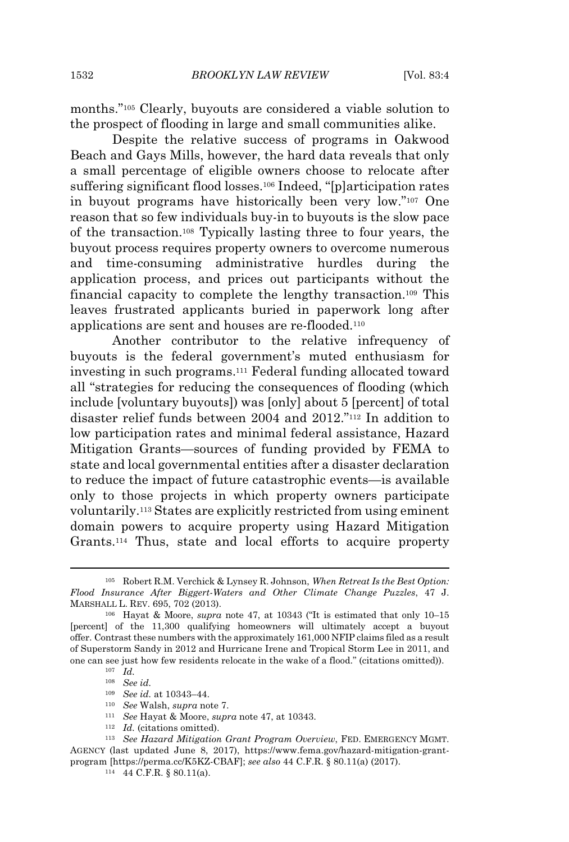months."<sup>105</sup> Clearly, buyouts are considered a viable solution to the prospect of flooding in large and small communities alike.

Despite the relative success of programs in Oakwood Beach and Gays Mills, however, the hard data reveals that only a small percentage of eligible owners choose to relocate after suffering significant flood losses.<sup>106</sup> Indeed, "[p]articipation rates in buyout programs have historically been very low."<sup>107</sup> One reason that so few individuals buy-in to buyouts is the slow pace of the transaction.<sup>108</sup> Typically lasting three to four years, the buyout process requires property owners to overcome numerous and time-consuming administrative hurdles during the application process, and prices out participants without the financial capacity to complete the lengthy transaction.<sup>109</sup> This leaves frustrated applicants buried in paperwork long after applications are sent and houses are re-flooded.<sup>110</sup>

Another contributor to the relative infrequency of buyouts is the federal government's muted enthusiasm for investing in such programs.<sup>111</sup> Federal funding allocated toward all "strategies for reducing the consequences of flooding (which include [voluntary buyouts]) was [only] about 5 [percent] of total disaster relief funds between 2004 and 2012."<sup>112</sup> In addition to low participation rates and minimal federal assistance, Hazard Mitigation Grants—sources of funding provided by FEMA to state and local governmental entities after a disaster declaration to reduce the impact of future catastrophic events—is available only to those projects in which property owners participate voluntarily.<sup>113</sup> States are explicitly restricted from using eminent domain powers to acquire property using Hazard Mitigation Grants.<sup>114</sup> Thus, state and local efforts to acquire property

<sup>105</sup> Robert R.M. Verchick & Lynsey R. Johnson, *When Retreat Is the Best Option: Flood Insurance After Biggert-Waters and Other Climate Change Puzzles*, 47 J. MARSHALL L. REV. 695, 702 (2013).

<sup>106</sup> Hayat & Moore, *supra* note 47, at 10343 ("It is estimated that only 10–15 [percent] of the 11,300 qualifying homeowners will ultimately accept a buyout offer. Contrast these numbers with the approximately 161,000 NFIP claims filed as a result of Superstorm Sandy in 2012 and Hurricane Irene and Tropical Storm Lee in 2011, and one can see just how few residents relocate in the wake of a flood." (citations omitted)).

<sup>107</sup> *Id.*

<sup>108</sup> *See id.*

<sup>109</sup> *See id.* at 10343–44.

<sup>110</sup> *See* Walsh, *supra* note 7.

<sup>111</sup> *See* Hayat & Moore, *supra* note 47, at 10343.

<sup>112</sup> *Id.* (citations omitted).

<sup>113</sup> *See Hazard Mitigation Grant Program Overview*, FED. EMERGENCY MGMT. AGENCY (last updated June 8, 2017), https://www.fema.gov/hazard-mitigation-grantprogram [https://perma.cc/K5KZ-CBAF]; *see also* 44 C.F.R. § 80.11(a) (2017).

<sup>114</sup> 44 C.F.R. § 80.11(a).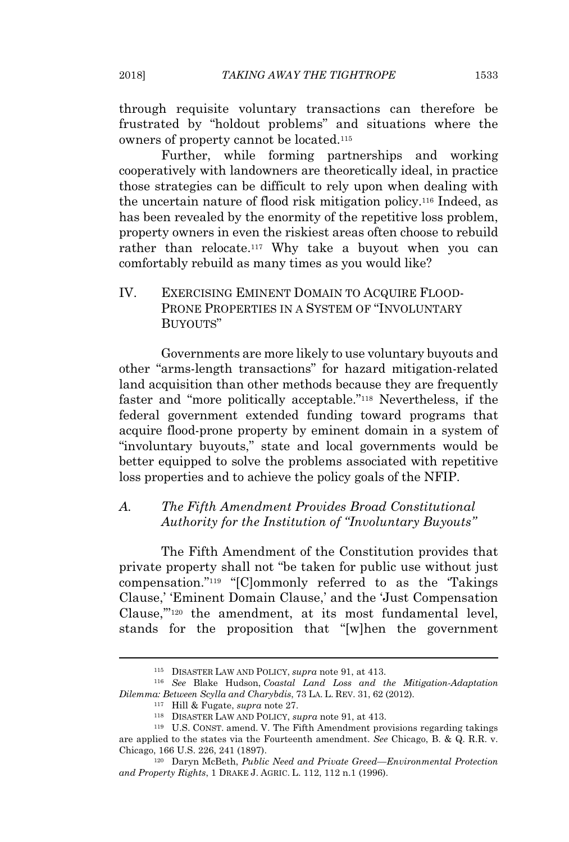through requisite voluntary transactions can therefore be frustrated by "holdout problems" and situations where the owners of property cannot be located.<sup>115</sup>

Further, while forming partnerships and working cooperatively with landowners are theoretically ideal, in practice those strategies can be difficult to rely upon when dealing with the uncertain nature of flood risk mitigation policy.<sup>116</sup> Indeed, as has been revealed by the enormity of the repetitive loss problem, property owners in even the riskiest areas often choose to rebuild rather than relocate.<sup>117</sup> Why take a buyout when you can comfortably rebuild as many times as you would like?

# IV. EXERCISING EMINENT DOMAIN TO ACQUIRE FLOOD-PRONE PROPERTIES IN A SYSTEM OF "INVOLUNTARY BUYOUTS"

Governments are more likely to use voluntary buyouts and other "arms-length transactions" for hazard mitigation-related land acquisition than other methods because they are frequently faster and "more politically acceptable."<sup>118</sup> Nevertheless, if the federal government extended funding toward programs that acquire flood-prone property by eminent domain in a system of "involuntary buyouts," state and local governments would be better equipped to solve the problems associated with repetitive loss properties and to achieve the policy goals of the NFIP.

# *A. The Fifth Amendment Provides Broad Constitutional Authority for the Institution of "Involuntary Buyouts"*

The Fifth Amendment of the Constitution provides that private property shall not "be taken for public use without just compensation."<sup>119</sup> "[C]ommonly referred to as the 'Takings Clause,' 'Eminent Domain Clause,' and the 'Just Compensation Clause,'"<sup>120</sup> the amendment, at its most fundamental level, stands for the proposition that "[w]hen the government

<sup>115</sup> DISASTER LAW AND POLICY, *supra* note 91, at 413.

<sup>116</sup> *See* Blake Hudson, *Coastal Land Loss and the Mitigation-Adaptation Dilemma: Between Scylla and Charybdis*, 73 LA. L. REV. 31, 62 (2012).

<sup>117</sup> Hill & Fugate, *supra* note 27.

<sup>118</sup> DISASTER LAW AND POLICY, *supra* note 91, at 413.

<sup>119</sup> U.S. CONST. amend. V. The Fifth Amendment provisions regarding takings are applied to the states via the Fourteenth amendment. *See* Chicago, B. & Q. R.R. v. Chicago, 166 U.S. 226, 241 (1897).

<sup>120</sup> Daryn McBeth, *Public Need and Private Greed—Environmental Protection and Property Rights*, 1 DRAKE J. AGRIC. L. 112, 112 n.1 (1996).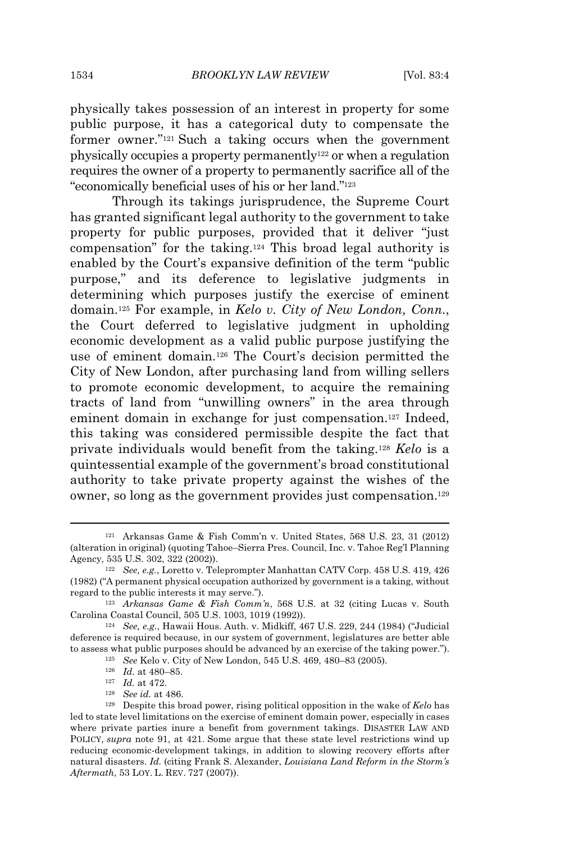physically takes possession of an interest in property for some public purpose, it has a categorical duty to compensate the former owner."<sup>121</sup> Such a taking occurs when the government physically occupies a property permanently<sup>122</sup> or when a regulation requires the owner of a property to permanently sacrifice all of the "economically beneficial uses of his or her land."<sup>123</sup>

Through its takings jurisprudence, the Supreme Court has granted significant legal authority to the government to take property for public purposes, provided that it deliver "just compensation" for the taking.<sup>124</sup> This broad legal authority is enabled by the Court's expansive definition of the term "public purpose," and its deference to legislative judgments in determining which purposes justify the exercise of eminent domain.<sup>125</sup> For example, in *Kelo v. City of New London, Conn.*, the Court deferred to legislative judgment in upholding economic development as a valid public purpose justifying the use of eminent domain.<sup>126</sup> The Court's decision permitted the City of New London, after purchasing land from willing sellers to promote economic development, to acquire the remaining tracts of land from "unwilling owners" in the area through eminent domain in exchange for just compensation.<sup>127</sup> Indeed, this taking was considered permissible despite the fact that private individuals would benefit from the taking.<sup>128</sup> *Kelo* is a quintessential example of the government's broad constitutional authority to take private property against the wishes of the owner, so long as the government provides just compensation.<sup>129</sup>

<sup>128</sup> *See id.* at 486.

<sup>121</sup> Arkansas Game & Fish Comm'n v. United States, 568 U.S. 23, 31 (2012) (alteration in original) (quoting Tahoe–Sierra Pres. Council, Inc. v. Tahoe Reg'l Planning Agency, 535 U.S. 302, 322 (2002)).

<sup>122</sup> *See, e.g.*, Loretto v. Teleprompter Manhattan CATV Corp. 458 U.S. 419, 426 (1982) ("A permanent physical occupation authorized by government is a taking, without regard to the public interests it may serve.").

<sup>123</sup> *Arkansas Game & Fish Comm'n*, 568 U.S. at 32 (citing Lucas v. South Carolina Coastal Council, 505 U.S. 1003, 1019 (1992)).

<sup>124</sup> *See, e.g.*, Hawaii Hous. Auth. v. Midkiff, 467 U.S. 229, 244 (1984) ("Judicial deference is required because, in our system of government, legislatures are better able to assess what public purposes should be advanced by an exercise of the taking power.").

<sup>125</sup> *See* Kelo v. City of New London, 545 U.S. 469, 480–83 (2005).

<sup>126</sup> *Id.* at 480–85.

<sup>127</sup> *Id.* at 472.

<sup>129</sup> Despite this broad power, rising political opposition in the wake of *Kelo* has led to state level limitations on the exercise of eminent domain power, especially in cases where private parties inure a benefit from government takings. DISASTER LAW AND POLICY, *supra* note 91, at 421. Some argue that these state level restrictions wind up reducing economic-development takings, in addition to slowing recovery efforts after natural disasters. *Id.* (citing Frank S. Alexander, *Louisiana Land Reform in the Storm's Aftermath*, 53 LOY. L. REV. 727 (2007)).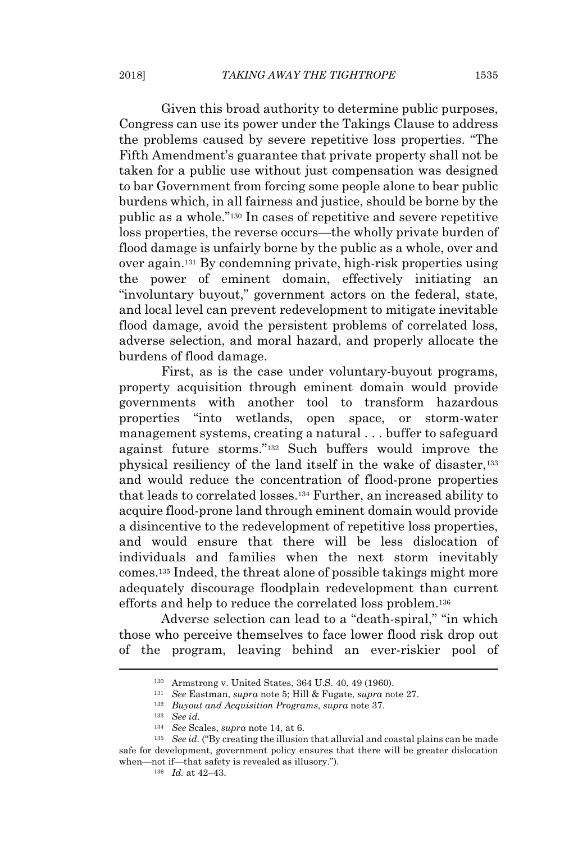Given this broad authority to determine public purposes, Congress can use its power under the Takings Clause to address the problems caused by severe repetitive loss properties. "The Fifth Amendment's guarantee that private property shall not be taken for a public use without just compensation was designed to bar Government from forcing some people alone to bear public burdens which, in all fairness and justice, should be borne by the public as a whole."<sup>130</sup> In cases of repetitive and severe repetitive loss properties, the reverse occurs—the wholly private burden of flood damage is unfairly borne by the public as a whole, over and over again.<sup>131</sup> By condemning private, high-risk properties using the power of eminent domain, effectively initiating an "involuntary buyout," government actors on the federal, state, and local level can prevent redevelopment to mitigate inevitable flood damage, avoid the persistent problems of correlated loss, adverse selection, and moral hazard, and properly allocate the burdens of flood damage.

First, as is the case under voluntary-buyout programs, property acquisition through eminent domain would provide governments with another tool to transform hazardous properties "into wetlands, open space, or storm-water management systems, creating a natural . . . buffer to safeguard against future storms."<sup>132</sup> Such buffers would improve the physical resiliency of the land itself in the wake of disaster,<sup>133</sup> and would reduce the concentration of flood-prone properties that leads to correlated losses.<sup>134</sup> Further, an increased ability to acquire flood-prone land through eminent domain would provide a disincentive to the redevelopment of repetitive loss properties, and would ensure that there will be less dislocation of individuals and families when the next storm inevitably comes.<sup>135</sup> Indeed, the threat alone of possible takings might more adequately discourage floodplain redevelopment than current efforts and help to reduce the correlated loss problem.<sup>136</sup>

Adverse selection can lead to a "death-spiral," "in which those who perceive themselves to face lower flood risk drop out of the program, leaving behind an ever-riskier pool of

<sup>130</sup> Armstrong v. United States, 364 U.S. 40, 49 (1960).

<sup>131</sup> *See* Eastman, *supra* note 5; Hill & Fugate, *supra* note 27.

<sup>132</sup> *Buyout and Acquisition Programs*, *supra* note 37.

<sup>133</sup> *See id.*

<sup>134</sup> *See* Scales, *supra* note 14, at 6.

<sup>&</sup>lt;sup>135</sup> *See id.* ("By creating the illusion that alluvial and coastal plains can be made safe for development, government policy ensures that there will be greater dislocation when—not if—that safety is revealed as illusory.").

<sup>136</sup> *Id.* at 42–43.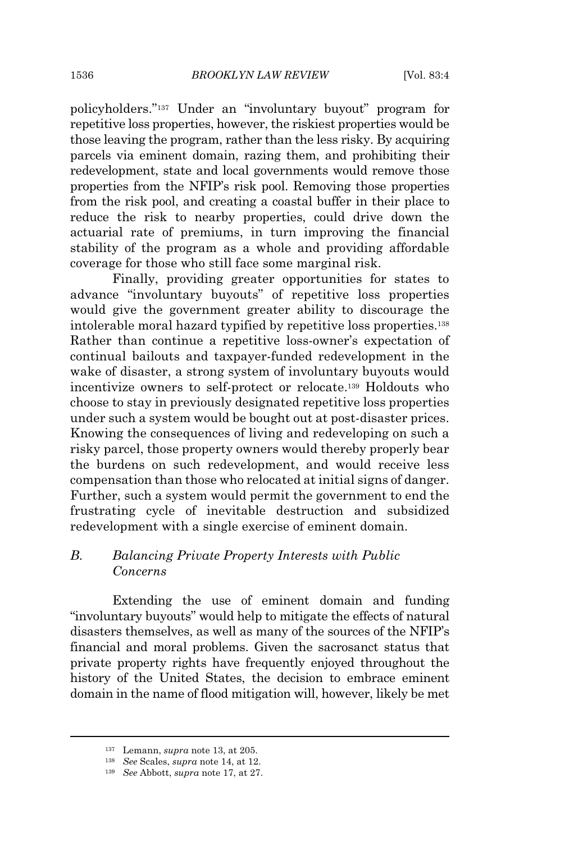policyholders."<sup>137</sup> Under an "involuntary buyout" program for repetitive loss properties, however, the riskiest properties would be those leaving the program, rather than the less risky. By acquiring parcels via eminent domain, razing them, and prohibiting their redevelopment, state and local governments would remove those properties from the NFIP's risk pool. Removing those properties from the risk pool, and creating a coastal buffer in their place to reduce the risk to nearby properties, could drive down the actuarial rate of premiums, in turn improving the financial stability of the program as a whole and providing affordable coverage for those who still face some marginal risk.

Finally, providing greater opportunities for states to advance "involuntary buyouts" of repetitive loss properties would give the government greater ability to discourage the intolerable moral hazard typified by repetitive loss properties.<sup>138</sup> Rather than continue a repetitive loss-owner's expectation of continual bailouts and taxpayer-funded redevelopment in the wake of disaster, a strong system of involuntary buyouts would incentivize owners to self-protect or relocate.<sup>139</sup> Holdouts who choose to stay in previously designated repetitive loss properties under such a system would be bought out at post-disaster prices. Knowing the consequences of living and redeveloping on such a risky parcel, those property owners would thereby properly bear the burdens on such redevelopment, and would receive less compensation than those who relocated at initial signs of danger. Further, such a system would permit the government to end the frustrating cycle of inevitable destruction and subsidized redevelopment with a single exercise of eminent domain.

## *B. Balancing Private Property Interests with Public Concerns*

Extending the use of eminent domain and funding "involuntary buyouts" would help to mitigate the effects of natural disasters themselves, as well as many of the sources of the NFIP's financial and moral problems. Given the sacrosanct status that private property rights have frequently enjoyed throughout the history of the United States, the decision to embrace eminent domain in the name of flood mitigation will, however, likely be met

<sup>137</sup> Lemann, *supra* note 13, at 205.

<sup>138</sup> *See* Scales, *supra* note 14, at 12.

<sup>139</sup> *See* Abbott, *supra* note 17, at 27.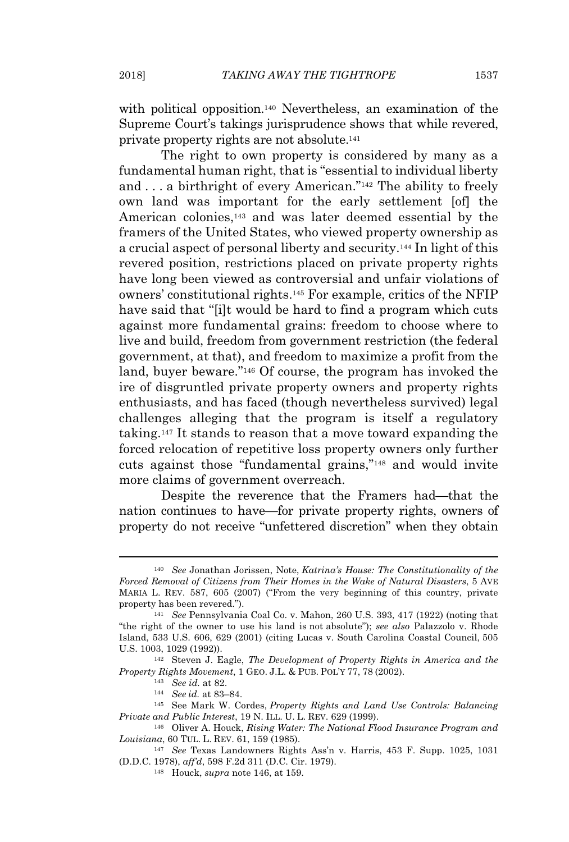with political opposition.<sup>140</sup> Nevertheless, an examination of the Supreme Court's takings jurisprudence shows that while revered, private property rights are not absolute.<sup>141</sup>

The right to own property is considered by many as a fundamental human right, that is "essential to individual liberty and . . . a birthright of every American."<sup>142</sup> The ability to freely own land was important for the early settlement [of] the American colonies,<sup>143</sup> and was later deemed essential by the framers of the United States, who viewed property ownership as a crucial aspect of personal liberty and security.<sup>144</sup> In light of this revered position, restrictions placed on private property rights have long been viewed as controversial and unfair violations of owners' constitutional rights.<sup>145</sup> For example, critics of the NFIP have said that "[i]t would be hard to find a program which cuts against more fundamental grains: freedom to choose where to live and build, freedom from government restriction (the federal government, at that), and freedom to maximize a profit from the land, buyer beware."<sup>146</sup> Of course, the program has invoked the ire of disgruntled private property owners and property rights enthusiasts, and has faced (though nevertheless survived) legal challenges alleging that the program is itself a regulatory taking.<sup>147</sup> It stands to reason that a move toward expanding the forced relocation of repetitive loss property owners only further cuts against those "fundamental grains,"<sup>148</sup> and would invite more claims of government overreach.

Despite the reverence that the Framers had—that the nation continues to have—for private property rights, owners of property do not receive "unfettered discretion" when they obtain

<sup>140</sup> *See* Jonathan Jorissen, Note, *Katrina's House: The Constitutionality of the Forced Removal of Citizens from Their Homes in the Wake of Natural Disasters*, 5 AVE MARIA L. REV. 587, 605 (2007) ("From the very beginning of this country, private property has been revered.").

<sup>141</sup> *See* Pennsylvania Coal Co. v. Mahon, 260 U.S. 393, 417 (1922) (noting that "the right of the owner to use his land is not absolute"); *see also* Palazzolo v. Rhode Island, 533 U.S. 606, 629 (2001) (citing Lucas v. South Carolina Coastal Council, 505 U.S. 1003, 1029 (1992)).

<sup>142</sup> Steven J. Eagle, *The Development of Property Rights in America and the Property Rights Movement*, 1 GEO. J.L. & PUB. POL'Y 77, 78 (2002).

<sup>143</sup> *See id.* at 82.

<sup>144</sup> *See id.* at 83–84.

<sup>145</sup> See Mark W. Cordes, *Property Rights and Land Use Controls: Balancing Private and Public Interest*, 19 N. ILL. U. L. REV. 629 (1999).

<sup>146</sup> Oliver A. Houck, *Rising Water: The National Flood Insurance Program and Louisiana*, 60 TUL. L. REV. 61, 159 (1985).

<sup>147</sup> *See* Texas Landowners Rights Ass'n v. Harris, 453 F. Supp. 1025, 1031 (D.D.C. 1978), *aff'd*, 598 F.2d 311 (D.C. Cir. 1979).

<sup>148</sup> Houck, *supra* note 146, at 159.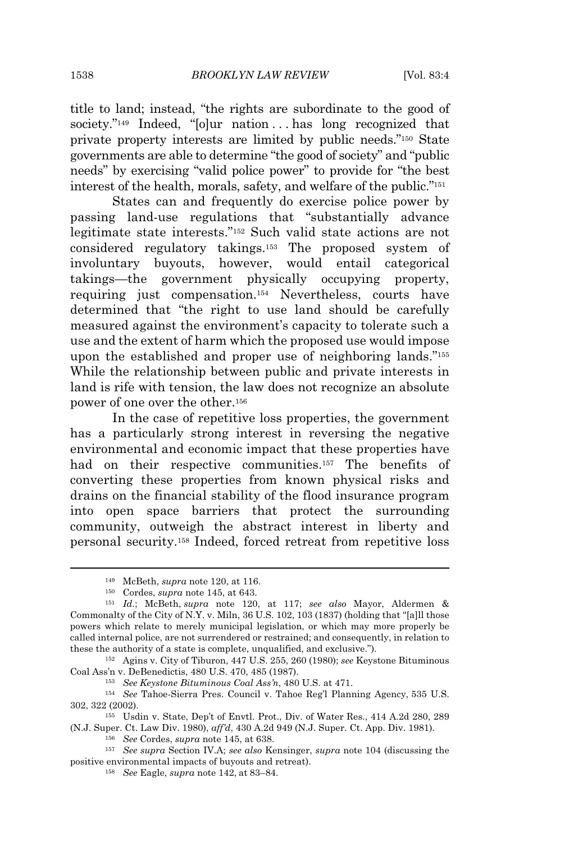title to land; instead, "the rights are subordinate to the good of society."<sup>149</sup> Indeed, "[o]ur nation . . . has long recognized that private property interests are limited by public needs."<sup>150</sup> State governments are able to determine "the good of society" and "public needs" by exercising "valid police power" to provide for "the best interest of the health, morals, safety, and welfare of the public."<sup>151</sup>

States can and frequently do exercise police power by passing land-use regulations that "substantially advance legitimate state interests."<sup>152</sup> Such valid state actions are not considered regulatory takings.<sup>153</sup> The proposed system of involuntary buyouts, however, would entail categorical takings—the government physically occupying property, requiring just compensation.<sup>154</sup> Nevertheless, courts have determined that "the right to use land should be carefully measured against the environment's capacity to tolerate such a use and the extent of harm which the proposed use would impose upon the established and proper use of neighboring lands."<sup>155</sup> While the relationship between public and private interests in land is rife with tension, the law does not recognize an absolute power of one over the other.<sup>156</sup>

In the case of repetitive loss properties, the government has a particularly strong interest in reversing the negative environmental and economic impact that these properties have had on their respective communities.<sup>157</sup> The benefits of converting these properties from known physical risks and drains on the financial stability of the flood insurance program into open space barriers that protect the surrounding community, outweigh the abstract interest in liberty and personal security.<sup>158</sup> Indeed, forced retreat from repetitive loss

<sup>157</sup> *See supra* Section IV.A; *see also* Kensinger, *supra* note 104 (discussing the positive environmental impacts of buyouts and retreat).

<sup>149</sup> McBeth, *supra* note 120, at 116.

<sup>150</sup> Cordes, *supra* note 145, at 643.

<sup>151</sup> *Id.*; McBeth, *supra* note 120, at 117; *see also* Mayor, Aldermen & Commonalty of the City of N.Y. v. Miln, 36 U.S. 102, 103 (1837) (holding that "[a]ll those powers which relate to merely municipal legislation, or which may more properly be called internal police, are not surrendered or restrained; and consequently, in relation to these the authority of a state is complete, unqualified, and exclusive.").

<sup>152</sup> Agins v. City of Tiburon, 447 U.S. 255, 260 (1980); *see* Keystone Bituminous Coal Ass'n v. DeBenedictis, 480 U.S. 470, 485 (1987).

<sup>153</sup> *See Keystone Bituminous Coal Ass'n*, 480 U.S. at 471.

<sup>154</sup> *See* Tahoe-Sierra Pres. Council v. Tahoe Reg'l Planning Agency, 535 U.S. 302, 322 (2002).

<sup>155</sup> Usdin v. State, Dep't of Envtl. Prot., Div. of Water Res., 414 A.2d 280, 289 (N.J. Super. Ct. Law Div. 1980), *aff'd*, 430 A.2d 949 (N.J. Super. Ct. App. Div. 1981).

<sup>156</sup> *See* Cordes, *supra* note 145, at 638.

<sup>158</sup> *See* Eagle, *supra* note 142, at 83–84.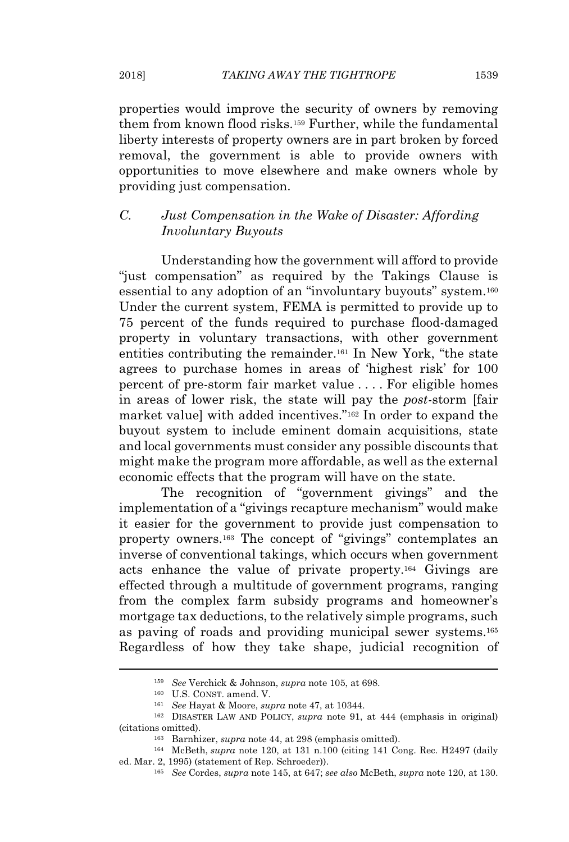properties would improve the security of owners by removing them from known flood risks.<sup>159</sup> Further, while the fundamental liberty interests of property owners are in part broken by forced removal, the government is able to provide owners with opportunities to move elsewhere and make owners whole by providing just compensation.

# *C. Just Compensation in the Wake of Disaster: Affording Involuntary Buyouts*

Understanding how the government will afford to provide "just compensation" as required by the Takings Clause is essential to any adoption of an "involuntary buyouts" system.<sup>160</sup> Under the current system, FEMA is permitted to provide up to 75 percent of the funds required to purchase flood-damaged property in voluntary transactions, with other government entities contributing the remainder.<sup>161</sup> In New York, "the state agrees to purchase homes in areas of 'highest risk' for 100 percent of pre-storm fair market value . . . . For eligible homes in areas of lower risk, the state will pay the *post-*storm [fair market value] with added incentives."<sup>162</sup> In order to expand the buyout system to include eminent domain acquisitions, state and local governments must consider any possible discounts that might make the program more affordable, as well as the external economic effects that the program will have on the state.

The recognition of "government givings" and the implementation of a "givings recapture mechanism" would make it easier for the government to provide just compensation to property owners.<sup>163</sup> The concept of "givings" contemplates an inverse of conventional takings, which occurs when government acts enhance the value of private property.<sup>164</sup> Givings are effected through a multitude of government programs, ranging from the complex farm subsidy programs and homeowner's mortgage tax deductions, to the relatively simple programs, such as paving of roads and providing municipal sewer systems.<sup>165</sup> Regardless of how they take shape, judicial recognition of

<sup>159</sup> *See* Verchick & Johnson, *supra* note 105, at 698.

<sup>160</sup> U.S. CONST. amend. V.

<sup>161</sup> *See* Hayat & Moore, *supra* note 47, at 10344.

<sup>162</sup> DISASTER LAW AND POLICY, *supra* note 91, at 444 (emphasis in original) (citations omitted).

<sup>163</sup> Barnhizer, *supra* note 44, at 298 (emphasis omitted).

<sup>164</sup> McBeth, *supra* note 120, at 131 n.100 (citing 141 Cong. Rec. H2497 (daily ed. Mar. 2, 1995) (statement of Rep. Schroeder)).

<sup>165</sup> *See* Cordes, *supra* note 145, at 647; *see also* McBeth, *supra* note 120, at 130.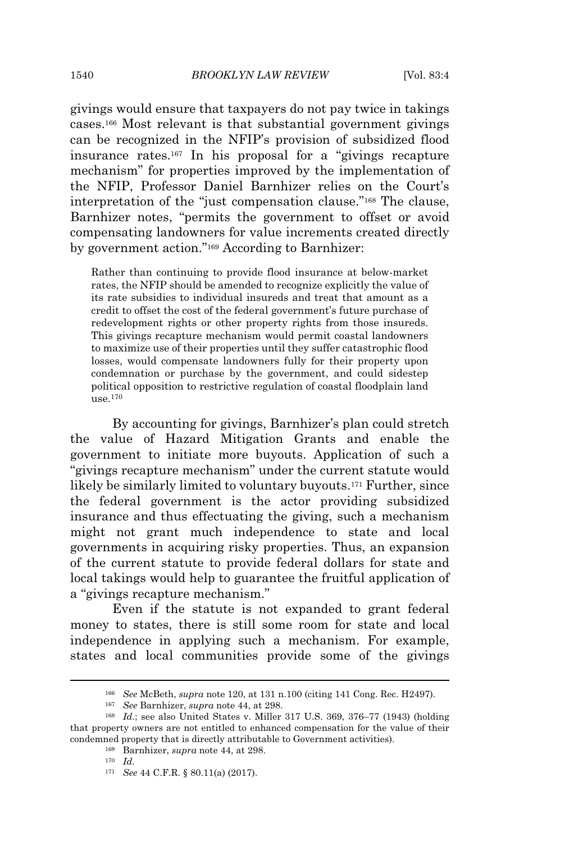givings would ensure that taxpayers do not pay twice in takings cases.<sup>166</sup> Most relevant is that substantial government givings can be recognized in the NFIP's provision of subsidized flood insurance rates.<sup>167</sup> In his proposal for a "givings recapture mechanism" for properties improved by the implementation of the NFIP, Professor Daniel Barnhizer relies on the Court's interpretation of the "just compensation clause."<sup>168</sup> The clause, Barnhizer notes, "permits the government to offset or avoid compensating landowners for value increments created directly by government action."<sup>169</sup> According to Barnhizer:

Rather than continuing to provide flood insurance at below-market rates, the NFIP should be amended to recognize explicitly the value of its rate subsidies to individual insureds and treat that amount as a credit to offset the cost of the federal government's future purchase of redevelopment rights or other property rights from those insureds. This givings recapture mechanism would permit coastal landowners to maximize use of their properties until they suffer catastrophic flood losses, would compensate landowners fully for their property upon condemnation or purchase by the government, and could sidestep political opposition to restrictive regulation of coastal floodplain land use.<sup>170</sup>

By accounting for givings, Barnhizer's plan could stretch the value of Hazard Mitigation Grants and enable the government to initiate more buyouts. Application of such a "givings recapture mechanism" under the current statute would likely be similarly limited to voluntary buyouts.<sup>171</sup> Further, since the federal government is the actor providing subsidized insurance and thus effectuating the giving, such a mechanism might not grant much independence to state and local governments in acquiring risky properties. Thus, an expansion of the current statute to provide federal dollars for state and local takings would help to guarantee the fruitful application of a "givings recapture mechanism."

Even if the statute is not expanded to grant federal money to states, there is still some room for state and local independence in applying such a mechanism. For example, states and local communities provide some of the givings

<sup>166</sup> *See* McBeth, *supra* note 120, at 131 n.100 (citing 141 Cong. Rec. H2497).

<sup>167</sup> *See* Barnhizer, *supra* note 44, at 298.

<sup>168</sup> *Id.*; see also United States v. Miller 317 U.S. 369, 376–77 (1943) (holding that property owners are not entitled to enhanced compensation for the value of their condemned property that is directly attributable to Government activities).

<sup>169</sup> Barnhizer, *supra* note 44, at 298.

<sup>170</sup> *Id.*

<sup>171</sup> *See* 44 C.F.R. § 80.11(a) (2017).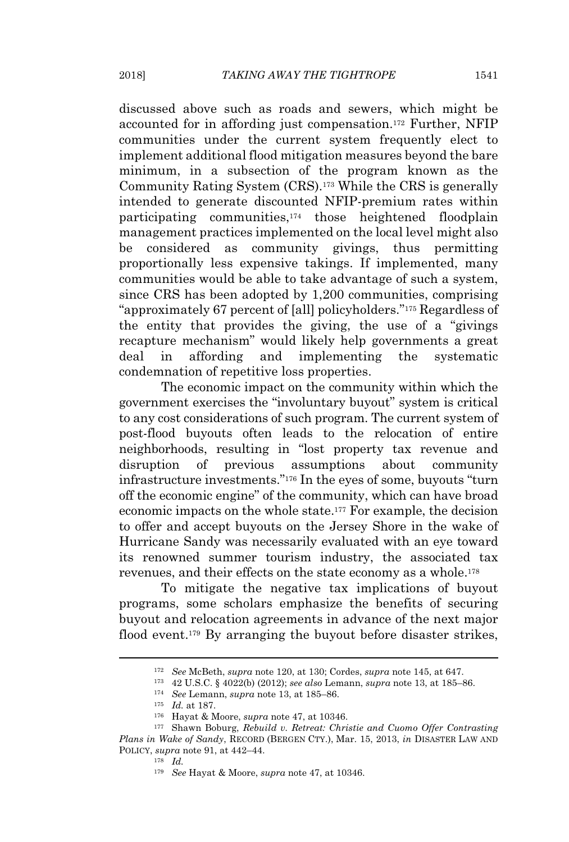discussed above such as roads and sewers, which might be accounted for in affording just compensation.<sup>172</sup> Further, NFIP communities under the current system frequently elect to implement additional flood mitigation measures beyond the bare minimum, in a subsection of the program known as the Community Rating System (CRS).<sup>173</sup> While the CRS is generally intended to generate discounted NFIP-premium rates within participating communities,<sup>174</sup> those heightened floodplain management practices implemented on the local level might also be considered as community givings, thus permitting proportionally less expensive takings. If implemented, many communities would be able to take advantage of such a system, since CRS has been adopted by 1,200 communities, comprising "approximately 67 percent of [all] policyholders."<sup>175</sup> Regardless of the entity that provides the giving, the use of a "givings recapture mechanism" would likely help governments a great deal in affording and implementing the systematic condemnation of repetitive loss properties.

The economic impact on the community within which the government exercises the "involuntary buyout" system is critical to any cost considerations of such program. The current system of post-flood buyouts often leads to the relocation of entire neighborhoods, resulting in "lost property tax revenue and disruption of previous assumptions about community infrastructure investments."<sup>176</sup> In the eyes of some, buyouts "turn off the economic engine" of the community, which can have broad economic impacts on the whole state.<sup>177</sup> For example, the decision to offer and accept buyouts on the Jersey Shore in the wake of Hurricane Sandy was necessarily evaluated with an eye toward its renowned summer tourism industry, the associated tax revenues, and their effects on the state economy as a whole.<sup>178</sup>

To mitigate the negative tax implications of buyout programs, some scholars emphasize the benefits of securing buyout and relocation agreements in advance of the next major flood event.<sup>179</sup> By arranging the buyout before disaster strikes,

<sup>172</sup> *See* McBeth, *supra* note 120, at 130; Cordes, *supra* note 145, at 647.

<sup>173</sup> 42 U.S.C. § 4022(b) (2012); *see also* Lemann, *supra* note 13, at 185–86.

<sup>174</sup> *See* Lemann, *supra* note 13, at 185–86.

<sup>175</sup> *Id.* at 187.

<sup>176</sup> Hayat & Moore, *supra* note 47, at 10346.

<sup>177</sup> Shawn Boburg, *Rebuild v. Retreat: Christie and Cuomo Offer Contrasting Plans in Wake of Sandy*, RECORD (BERGEN CTY.), Mar. 15, 2013, *in* DISASTER LAW AND POLICY, *supra* note 91, at 442–44.

<sup>178</sup> *Id.*

<sup>179</sup> *See* Hayat & Moore, *supra* note 47, at 10346.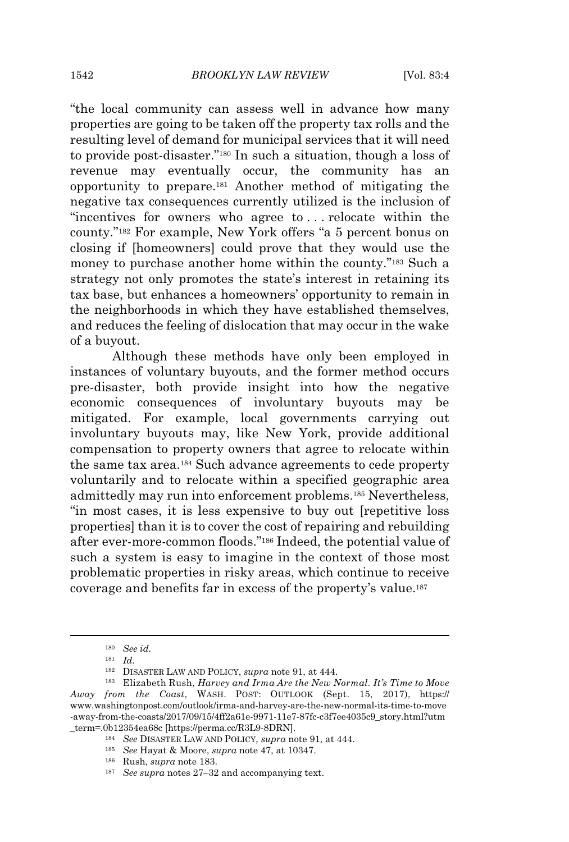"the local community can assess well in advance how many properties are going to be taken off the property tax rolls and the resulting level of demand for municipal services that it will need to provide post-disaster."<sup>180</sup> In such a situation, though a loss of revenue may eventually occur, the community has an opportunity to prepare.<sup>181</sup> Another method of mitigating the negative tax consequences currently utilized is the inclusion of "incentives for owners who agree to . . . relocate within the county."<sup>182</sup> For example, New York offers "a 5 percent bonus on closing if [homeowners] could prove that they would use the money to purchase another home within the county."<sup>183</sup> Such a strategy not only promotes the state's interest in retaining its tax base, but enhances a homeowners' opportunity to remain in the neighborhoods in which they have established themselves, and reduces the feeling of dislocation that may occur in the wake of a buyout.

Although these methods have only been employed in instances of voluntary buyouts, and the former method occurs pre-disaster, both provide insight into how the negative economic consequences of involuntary buyouts may be mitigated. For example, local governments carrying out involuntary buyouts may, like New York, provide additional compensation to property owners that agree to relocate within the same tax area.<sup>184</sup> Such advance agreements to cede property voluntarily and to relocate within a specified geographic area admittedly may run into enforcement problems.<sup>185</sup> Nevertheless, "in most cases, it is less expensive to buy out [repetitive loss properties] than it is to cover the cost of repairing and rebuilding after ever-more-common floods."<sup>186</sup> Indeed, the potential value of such a system is easy to imagine in the context of those most problematic properties in risky areas, which continue to receive coverage and benefits far in excess of the property's value.<sup>187</sup>

<sup>180</sup> *See id.*

<sup>181</sup> *Id.*

<sup>182</sup> DISASTER LAW AND POLICY, *supra* note 91, at 444.

<sup>183</sup> Elizabeth Rush, *Harvey and Irma Are the New Normal. It's Time to Move Away from the Coast*, WASH. POST: OUTLOOK (Sept. 15, 2017), https:// www.washingtonpost.com/outlook/irma-and-harvey-are-the-new-normal-its-time-to-move -away-from-the-coasts/2017/09/15/4ff2a61e-9971-11e7-87fc-c3f7ee4035c9\_story.html?utm \_term=.0b12354ea68c [https://perma.cc/R3L9-8DRN].

<sup>184</sup> *See* DISASTER LAW AND POLICY, *supra* note 91, at 444.

<sup>185</sup> *See* Hayat & Moore, *supra* note 47, at 10347.

<sup>186</sup> Rush, *supra* note 183.

<sup>187</sup> *See supra* notes 27–32 and accompanying text.